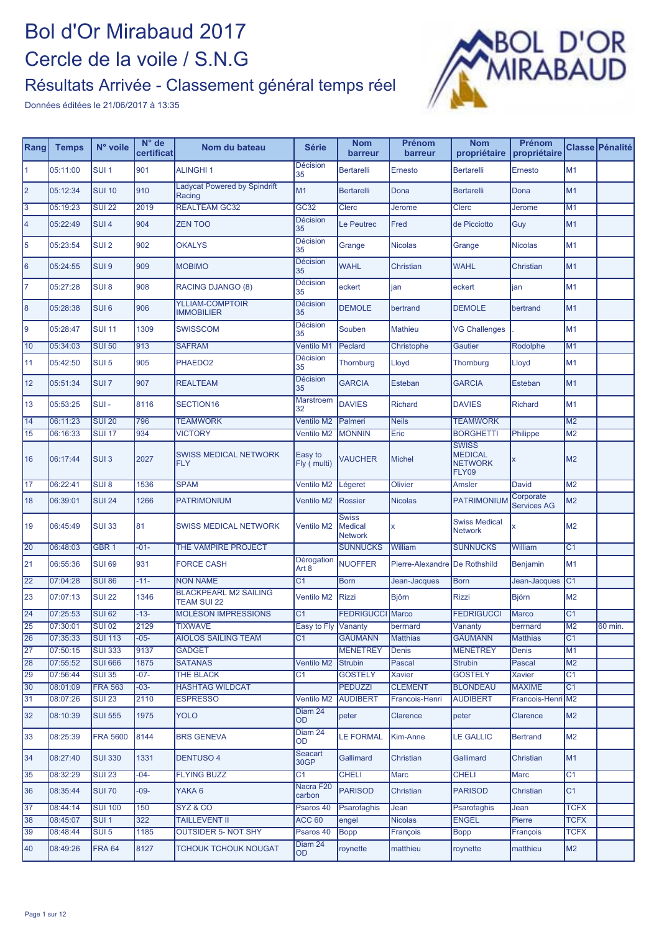

| Rang            | <b>Temps</b>         | N° voile                        | $N^{\circ}$ de<br>certificat | Nom du bateau                                      | <b>Série</b>           | <b>Nom</b><br>barreur                            | Prénom<br>barreur             | <b>Nom</b><br>propriétaire                                       | Prénom<br>propriétaire          |                | Classe Pénalité |
|-----------------|----------------------|---------------------------------|------------------------------|----------------------------------------------------|------------------------|--------------------------------------------------|-------------------------------|------------------------------------------------------------------|---------------------------------|----------------|-----------------|
| 11              | 05:11:00             | SUI <sub>1</sub>                | 901                          | <b>ALINGHI1</b>                                    | <b>Décision</b><br>35  | <b>Bertarelli</b>                                | Ernesto                       | <b>Bertarelli</b>                                                | Ernesto                         | M1             |                 |
| 2               | 05:12:34             | <b>SUI 10</b>                   | 910                          | <b>Ladycat Powered by Spindrift</b><br>Racing      | M1                     | <b>Bertarelli</b>                                | Dona                          | <b>Bertarelli</b>                                                | Dona                            | M <sub>1</sub> |                 |
| $\overline{3}$  | 05:19:23             | <b>SUI 22</b>                   | 2019                         | <b>REALTEAM GC32</b>                               | <b>GC32</b>            | <b>Clerc</b>                                     | Jerome                        | <b>Clerc</b>                                                     | Jerome                          | M <sub>1</sub> |                 |
| 4               | 05:22:49             | SUI <sub>4</sub>                | 904                          | <b>ZEN TOO</b>                                     | <b>Décision</b><br>35  | Le Peutrec                                       | Fred                          | de Picciotto                                                     | Guy                             | M1             |                 |
| 5               | 05:23:54             | SUI <sub>2</sub>                | 902                          | <b>OKALYS</b>                                      | <b>Décision</b><br>35  | Grange                                           | <b>Nicolas</b>                | Grange                                                           | <b>Nicolas</b>                  | M1             |                 |
| 6               | 05:24:55             | SUI <sub>9</sub>                | 909                          | <b>MOBIMO</b>                                      | <b>Décision</b><br>35  | <b>WAHL</b>                                      | Christian                     | <b>WAHL</b>                                                      | Christian                       | M1             |                 |
| 17              | 05:27:28             | SUI <sub>8</sub>                | 908                          | RACING DJANGO (8)                                  | <b>Décision</b><br>35  | eckert                                           | jan                           | eckert                                                           | jan                             | M <sub>1</sub> |                 |
| 8               | 05:28:38             | SUI <sub>6</sub>                | 906                          | <b>YLLIAM-COMPTOIR</b><br><b>IMMOBILIER</b>        | <b>Décision</b><br>35  | <b>DEMOLE</b>                                    | bertrand                      | <b>DEMOLE</b>                                                    | bertrand                        | M1             |                 |
| 9               | 05:28:47             | <b>SUI 11</b>                   | 1309                         | <b>SWISSCOM</b>                                    | <b>Décision</b><br>35  | Souben                                           | <b>Mathieu</b>                | <b>VG Challenges</b>                                             |                                 | M <sub>1</sub> |                 |
| 10              | 05:34:03             | <b>SUI 50</b>                   | 913                          | <b>SAFRAM</b>                                      | Ventilo M1             | Peclard                                          | Christophe                    | Gautier                                                          | Rodolphe                        | M1             |                 |
| 11              | 05:42:50             | SUI <sub>5</sub>                | 905                          | PHAEDO <sub>2</sub>                                | <b>Décision</b><br>35  | Thornburg                                        | Lloyd                         | <b>Thornburg</b>                                                 | Lloyd                           | M1             |                 |
| 12              | 05:51:34             | SUI <sub>7</sub>                | 907                          | <b>REALTEAM</b>                                    | <b>Décision</b><br>35  | <b>GARCIA</b>                                    | Esteban                       | <b>GARCIA</b>                                                    | <b>Esteban</b>                  | M1             |                 |
| 13              | 05:53:25             | $SUI -$                         | 8116                         | <b>SECTION16</b>                                   | Marstroem<br>32        | <b>DAVIES</b>                                    | <b>Richard</b>                | <b>DAVIES</b>                                                    | <b>Richard</b>                  | M1             |                 |
| 14              | 06:11:23             | <b>SUI 20</b>                   | 796                          | <b>TEAMWORK</b>                                    | Ventilo M2             | Palmeri                                          | <b>Neils</b>                  | <b>TEAMWORK</b>                                                  |                                 | M <sub>2</sub> |                 |
| 15              | 06:16:33             | <b>SUI 17</b>                   | 934                          | <b>VICTORY</b>                                     | Ventilo M2             | <b>MONNIN</b>                                    | Eric                          | <b>BORGHETTI</b>                                                 | Philippe                        | M <sub>2</sub> |                 |
| 16              | 06:17:44             | SUI <sub>3</sub>                | 2027                         | <b>SWISS MEDICAL NETWORK</b><br><b>FLY</b>         | Easy to<br>Fly (multi) | <b>VAUCHER</b>                                   | <b>Michel</b>                 | <b>SWISS</b><br><b>MEDICAL</b><br><b>NETWORK</b><br><b>FLY09</b> | x                               | M <sub>2</sub> |                 |
| $\overline{17}$ | 06:22:41             | SUI <sub>8</sub>                | 1536                         | <b>SPAM</b>                                        | Ventilo M2             | Légeret                                          | Olivier                       | Amsler                                                           | David                           | M <sub>2</sub> |                 |
| 18              | 06:39:01             | <b>SUI 24</b>                   | 1266                         | <b>PATRIMONIUM</b>                                 | Ventilo M2             | <b>Rossier</b>                                   | <b>Nicolas</b>                | <b>PATRIMONIUM</b>                                               | Corporate<br><b>Services AG</b> | M <sub>2</sub> |                 |
| 19              | 06:45:49             | <b>SUI 33</b>                   | 81                           | <b>SWISS MEDICAL NETWORK</b>                       | Ventilo M2             | <b>Swiss</b><br><b>Medical</b><br><b>Network</b> | x                             | <b>Swiss Medical</b><br><b>Network</b>                           | X                               | M <sub>2</sub> |                 |
| 20              | 06:48:03             | GBR <sub>1</sub>                | $-01-$                       | THE VAMPIRE PROJECT                                |                        | <b>SUNNUCKS</b>                                  | William                       | <b>SUNNUCKS</b>                                                  | William                         | C <sub>1</sub> |                 |
| 21              | 06:55:36             | <b>SUI 69</b>                   | 931                          | <b>FORCE CASH</b>                                  | Dérogation<br>Art 8    | <b>NUOFFER</b>                                   | Pierre-Alexandre De Rothshild |                                                                  | <b>Benjamin</b>                 | M1             |                 |
| 22              | 07:04:28             | <b>SUI 86</b>                   | $-11-$                       | <b>NON NAME</b>                                    | C <sub>1</sub>         | <b>Born</b>                                      | Jean-Jacques                  | <b>Born</b>                                                      | Jean-Jacques                    | C <sub>1</sub> |                 |
| 23              | 07:07:13             | <b>SUI 22</b>                   | 1346                         | <b>BLACKPEARL M2 SAILING</b><br><b>TEAM SUI 22</b> | Ventilo M2             | <b>Rizzi</b>                                     | <b>Björn</b>                  | <b>Rizzi</b>                                                     | <b>Björn</b>                    | M <sub>2</sub> |                 |
| 24              | 07:25:53             | <b>SUI 62</b>                   | $-13-$                       | <b>MOLÉSON IMPRESSIONS</b>                         | C <sub>1</sub>         | <b>FEDRIGUCC</b>                                 | <b>Marco</b>                  | <b>FEDRIGUCCI</b>                                                | <b>Marco</b>                    | C <sub>1</sub> |                 |
| 25              | 07:30:01             | <b>SUI 02</b>                   | 2129                         | <b>TIXWAVE</b>                                     | Easy to Fly            | Vananty                                          | berrnard                      | Vananty                                                          | berrnard                        | M <sub>2</sub> | 60 min.         |
| 26              | 07:35:33             | <b>SUI 113</b>                  | $-05-$                       | <b>AIOLOS SAILING TEAM</b>                         | C1                     | <b>GÄUMANN</b>                                   | <b>Matthias</b>               | <b>GÄUMANN</b>                                                   | <b>Matthias</b>                 | GT.            |                 |
| 27              | 07:50:15             | <b>SUI 333</b>                  | 9137                         | <b>GADGET</b>                                      |                        | <b>MENETREY</b>                                  | Denis                         | <b>MENETREY</b>                                                  | Denis                           | M1             |                 |
| 28              | 07:55:52             | <b>SUI 666</b>                  | 1875                         | <b>SATANAS</b>                                     | <b>Ventilo M2</b>      | <b>Strubin</b>                                   | Pascal                        | <b>Strubin</b>                                                   | Pascal                          | M <sub>2</sub> |                 |
| 29              | 07:56:44             | <b>SUI 35</b>                   | $-07-$                       | THE BLACK                                          | C <sub>1</sub>         | <b>GOSTELY</b>                                   | <b>Xavier</b>                 | <b>GOSTELY</b>                                                   | Xavier                          | C1             |                 |
| 30              | 08:01:09             | <b>FRA 563</b>                  | $-03-$                       | <b>HASHTAG WILDCAT</b>                             |                        | <b>PEDUZZI</b>                                   | <b>CLEMENT</b>                | <b>BLONDEAU</b>                                                  | <b>MAXIME</b>                   | C1             |                 |
| 31<br>32        | 08:07:26<br>08:10:39 | <b>SUI 23</b><br><b>SUI 555</b> | 2110<br>1975                 | <b>ESPRESSO</b><br><b>YOLO</b>                     | Ventilo M2<br>Diam 24  | <b>AUDIBERT</b><br>peter                         | Francois-Henri<br>Clarence    | <b>AUDIBERT</b><br>peter                                         | Francois-Henri M2<br>Clarence   | M2             |                 |
| 33              | 08:25:39             | <b>FRA 5600</b>                 | 8144                         | <b>BRS GENEVA</b>                                  | OD<br>Diam 24<br>OD    | <b>LE FORMAL</b>                                 | Kim-Anne                      | <b>LE GALLIC</b>                                                 | <b>Bertrand</b>                 | M <sub>2</sub> |                 |
| 34              | 08:27:40             | <b>SUI 330</b>                  | 1331                         | <b>DENTUSO 4</b>                                   | <b>Seacart</b><br>30GP | Gallimard                                        | Christian                     | Gallimard                                                        | Christian                       | M1             |                 |
| 35              | 08:32:29             | <b>SUI 23</b>                   | $-04-$                       | <b>FLYING BUZZ</b>                                 | $\overline{C1}$        | <b>CHELI</b>                                     | Marc                          | <b>CHELI</b>                                                     | Marc                            | C1             |                 |
| 36              | 08:35:44             | <b>SUI 70</b>                   | $-09-$                       | YAKA 6                                             | Nacra F20<br>carbon    | <b>PARISOD</b>                                   | Christian                     | <b>PARISOD</b>                                                   | Christian                       | C1             |                 |
| 37              | 08:44:14             | <b>SUI 100</b>                  | 150                          | SYZ & CO                                           | Psaros 40              | Psarofaghis                                      | Jean                          | Psarofaghis                                                      | Jean                            | <b>TCFX</b>    |                 |
| 38              | 08:45:07             | SUI <sub>1</sub>                | 322                          | <b>TAILLEVENT II</b>                               | ACC <sub>60</sub>      | engel                                            | <b>Nicolas</b>                | <b>ENGEL</b>                                                     | Pierre                          | <b>TCFX</b>    |                 |
| 39              | 08:48:44             | SUI <sub>5</sub>                | 1185                         | <b>OUTSIDER 5- NOT SHY</b>                         | Psaros 40              | <b>Bopp</b>                                      | François                      | Bopp                                                             | François                        | <b>TCFX</b>    |                 |
| 40              | 08:49:26             | <b>FRA 64</b>                   | 8127                         | <b>TCHOUK TCHOUK NOUGAT</b>                        | Diam 24<br>OD          | roynette                                         | matthieu                      | roynette                                                         | matthieu                        | M2             |                 |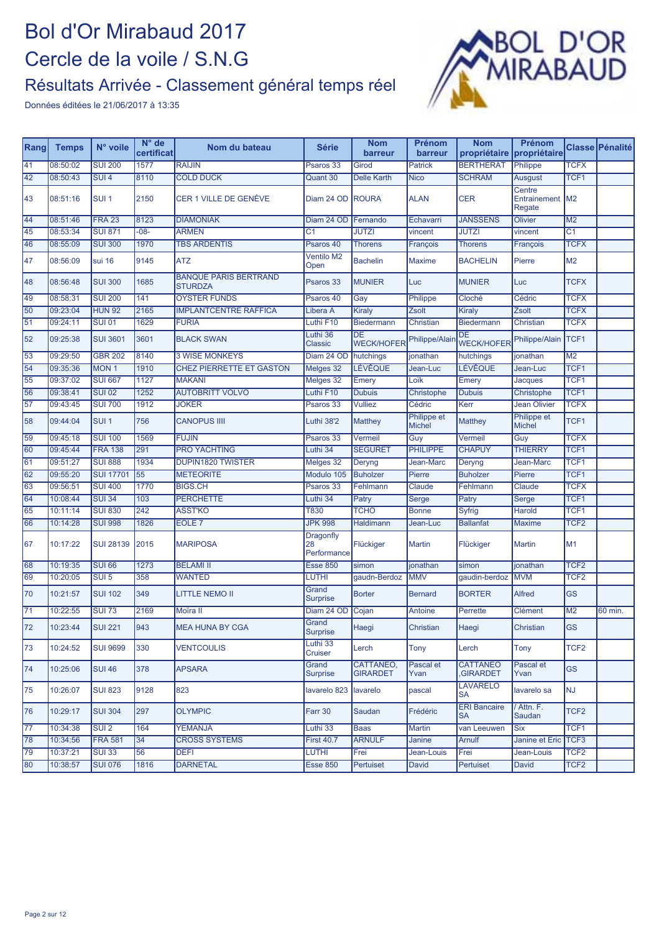# Bol d'Or Mirabaud 2017 Cercle de la voile / S.N.G

#### Résultats Arrivée - Classement général temps réel



| Rang | <b>Temps</b> | N° voile         | $N^{\circ}$ de<br>certificat | Nom du bateau                           | <b>Série</b>                          | <b>Nom</b><br>barreur          | Prénom<br>barreur            | <b>Nom</b><br>propriétaire         | <b>Prénom</b><br>propriétaire         |                  | Classe Pénalité |
|------|--------------|------------------|------------------------------|-----------------------------------------|---------------------------------------|--------------------------------|------------------------------|------------------------------------|---------------------------------------|------------------|-----------------|
| 41   | 08:50:02     | <b>SUI 200</b>   | 1577                         | RAÏJIN                                  | Psaros 33                             | Girod                          | <b>Patrick</b>               | <b>BERTHERAT</b>                   | Philippe                              | <b>TCFX</b>      |                 |
| 42   | 08:50:43     | $SUI$ 4          | 8110                         | <b>COLD DUCK</b>                        | Quant 30                              | <b>Delle Karth</b>             | <b>Nico</b>                  | <b>SCHRAM</b>                      | <b>Ausqust</b>                        | TCF <sub>1</sub> |                 |
| 43   | 08:51:16     | SUI <sub>1</sub> | 2150                         | CER 1 VILLE DE GENÈVE                   | Diam 24 OD                            | <b>ROURA</b>                   | <b>ALAN</b>                  | <b>CER</b>                         | Centre<br>Entrainement   M2<br>Regate |                  |                 |
| 44   | 08:51:46     | <b>FRA 23</b>    | 8123                         | <b>DIAMONIAK</b>                        | Diam 24 OD                            | Fernando                       | Echavarri                    | <b>JANSSENS</b>                    | <b>Olivier</b>                        | M2               |                 |
| 45   | 08:53:34     | <b>SUI 871</b>   | $-08-$                       | <b>ARMEN</b>                            | C <sub>1</sub>                        | <b>JUTZI</b>                   | vincent                      | <b>JUTZI</b>                       | vincent                               | C1               |                 |
| 46   | 08:55:09     | <b>SUI 300</b>   | 1970                         | <b>TBS ARDENTIS</b>                     | Psaros 40                             | <b>Thorens</b>                 | François                     | <b>Thorens</b>                     | François                              | <b>TCFX</b>      |                 |
| 47   | 08:56:09     | sui 16           | 9145                         | ATZ                                     | Ventilo M2<br>Open                    | <b>Bachelin</b>                | <b>Maxime</b>                | <b>BACHELIN</b>                    | Pierre                                | M <sub>2</sub>   |                 |
| 48   | 08:56:48     | <b>SUI 300</b>   | 1685                         | BANQUE PÂRIS BERTRAND<br><b>STURDZA</b> | Psaros 33                             | <b>MUNIER</b>                  | Luc                          | <b>MUNIER</b>                      | Luc                                   | <b>TCFX</b>      |                 |
| 49   | 08:58:31     | <b>SUI 200</b>   | 141                          | <b>OYSTER FUNDS</b>                     | Psaros 40                             | Gay                            | Philippe                     | Cloché                             | Cédric                                | <b>TCFX</b>      |                 |
| 50   | 09:23:04     | <b>HUN 92</b>    | 2165                         | <b>IMPLANTCENTRE RAFFICA</b>            | Libera A                              | <b>Kiraly</b>                  | <b>Zsolt</b>                 | Kiraly                             | <b>Zsolt</b>                          | <b>TCFX</b>      |                 |
| 51   | 09:24:11     | <b>SUI 01</b>    | 1629                         | <b>FURIA</b>                            | Luthi F10                             | Biedermann                     | Christian                    | Biedermann                         | Christian                             | <b>TCFX</b>      |                 |
| 52   | 09:25:38     | <b>SUI 3601</b>  | 3601                         | <b>BLACK SWAN</b>                       | Luthi 36<br><b>Classic</b>            | <b>DE</b><br><b>WECK/HOFER</b> | <b>Philippe/Alair</b>        | DE<br><b>WECK/HOFEF</b>            | Philippe/Alain                        | TCF <sub>1</sub> |                 |
| 53   | 09:29:50     | <b>GBR 202</b>   | 8140                         | <b>3 WISE MONKEYS</b>                   | Diam 24 OD                            | hutchings                      | jonathan                     | hutchings                          | jonathan                              | M <sub>2</sub>   |                 |
| 54   | 09:35:36     | <b>MON1</b>      | 1910                         | CHEZ PIERRETTE ET GASTON                | Melges 32                             | <b>LÉVÊQUE</b>                 | Jean-Luc                     | <b>LÉVÊQUE</b>                     | Jean-Luc                              | TCF <sub>1</sub> |                 |
| 55   | 09:37:02     | <b>SUI 667</b>   | 1127                         | <b>MAKANI</b>                           | Melges 32                             | Emery                          | Loïk                         | Emery                              | <b>Jacques</b>                        | TCF <sub>1</sub> |                 |
| 56   | 09:38:41     | <b>SUI 02</b>    | 1252                         | <b>AUTOBRITT VOLVO</b>                  | Luthi F10                             | <b>Dubuis</b>                  | Christophe                   | <b>Dubuis</b>                      | Christophe                            | TCF1             |                 |
| 57   | 09:43:45     | <b>SUI 700</b>   | 1912                         | <b>JOKER</b>                            | Psaros 33                             | <b>Vulliez</b>                 | Cédric                       | Kerr                               | <b>Jean Olivier</b>                   | <b>TCFX</b>      |                 |
| 58   | 09:44:04     | SUI <sub>1</sub> | 756                          | <b>CANOPUS IIII</b>                     | Luthi 38'2                            | <b>Matthey</b>                 | Philippe et<br><b>Michel</b> | <b>Matthey</b>                     | Philippe et<br><b>Michel</b>          | TCF <sub>1</sub> |                 |
| 59   | 09:45:18     | <b>SUI 100</b>   | 1569                         | <b>FUJIN</b>                            | Psaros 33                             | Vermeil                        | Guy                          | Vermeil                            | Guy                                   | <b>TCFX</b>      |                 |
| 60   | 09:45:44     | <b>FRA 138</b>   | 291                          | <b>PRO YACHTING</b>                     | Luthi 34                              | <b>SEGURET</b>                 | <b>PHILIPPE</b>              | <b>CHAPUY</b>                      | <b>THIERRY</b>                        | TCF <sub>1</sub> |                 |
| 61   | 09:51:27     | <b>SUI 888</b>   | 1934                         | <b>DUPIN1820 TWISTER</b>                | Melges 32                             | Deryng                         | Jean-Marc                    | Deryng                             | Jean-Marc                             | TCF <sub>1</sub> |                 |
| 62   | 09:55:20     | <b>SUI 17701</b> | 55                           | <b>METEORITE</b>                        | Modulo 105                            | <b>Buholzer</b>                | Pierre                       | <b>Buholzer</b>                    | Pierre                                | TCF <sub>1</sub> |                 |
| 63   | 09:56:51     | <b>SUI 400</b>   | 1770                         | <b>BIGS.CH</b>                          | Psaros 33                             | Fehlmann                       | Claude                       | Fehlmann                           | Claude                                | <b>TCFX</b>      |                 |
| 64   | 10:08:44     | <b>SUI 34</b>    | 103                          | <b>PERCHETTE</b>                        | Luthi 34                              | Patry                          | Serge                        | Patry                              | Serge                                 | TCF <sub>1</sub> |                 |
| 65   | 10:11:14     | <b>SUI 830</b>   | 242                          | <b>ASST'KO</b>                          | <b>T830</b>                           | <b>TCHO</b>                    | <b>Bonne</b>                 | Syfrig                             | Harold                                | TCF <sub>1</sub> |                 |
| 66   | 10:14:28     | <b>SUI 998</b>   | 1826                         | EOLE <sub>7</sub>                       | <b>JPK 998</b>                        | <b>Haldimann</b>               | Jean-Luc                     | <b>Ballanfat</b>                   | <b>Maxime</b>                         | TCF <sub>2</sub> |                 |
| 67   | 10:17:22     | <b>SUI 28139</b> | 2015                         | <b>MARIPOSA</b>                         | <b>Dragonfly</b><br>28<br>Performance | Flückiger                      | <b>Martin</b>                | Flückiger                          | <b>Martin</b>                         | M1               |                 |
| 68   | 10:19:35     | <b>SUI 66</b>    | 1273                         | <b>BELAMI II</b>                        | <b>Esse 850</b>                       | simon                          | jonathan                     | simon                              | jonathan                              | TCF <sub>2</sub> |                 |
| 69   | 10:20:05     | SUI <sub>5</sub> | 358                          | <b>WANTED</b>                           | LUTHI                                 | gaudn-Berdoz                   | <b>MMV</b>                   | qaudin-berdoz                      | <b>MVM</b>                            | TCF <sub>2</sub> |                 |
| 70   | 10:21:57     | <b>SUI 102</b>   | 349                          | <b>LITTLE NEMO II</b>                   | Grand<br><b>Surprise</b>              | <b>Borter</b>                  | <b>Bernard</b>               | <b>BORTER</b>                      | <b>Alfred</b>                         | <b>GS</b>        |                 |
| 71   | 10:22:55     | <b>SUI 73</b>    | 2169                         | Moïra II                                | Diam 24 OD                            | Cojan                          | Antoine                      | Perrette                           | Clément                               | M <sub>2</sub>   | 60 min.         |
| 72   | 10:23:44     | <b>SUI 221</b>   | 943                          | <b>MEA HUNA BY CGA</b>                  | Grand<br><b>Surprise</b>              | Haegi                          | <b>Christian</b>             | Haegi                              | Christian                             | <b>GS</b>        |                 |
| 73   | 10:24:52     | <b>SUI 9699</b>  | 330                          | VENTCOULIS                              | Luthi 33<br>Cruiser                   | Lerch                          | Tony                         | Lerch                              | Tony                                  | TCF <sub>2</sub> |                 |
| 74   | 10:25:06     | <b>SUI 46</b>    | 378                          | <b>APSARA</b>                           | Grand<br><b>Surprise</b>              | CATTANEO,<br><b>GIRARDET</b>   | Pascal et<br>Yvan            | <b>CATTANEO</b><br><b>GIRARDET</b> | Pascal et<br>Yvan                     | <b>GS</b>        |                 |
| 75   | 10:26:07     | <b>SUI 823</b>   | 9128                         | 823                                     | lavarelo 823                          | lavarelo                       | pascal                       | <b>LAVARELO</b><br><b>SA</b>       | lavarelo sa                           | <b>NJ</b>        |                 |
| 76   | 10:29:17     | <b>SUI 304</b>   | 297                          | <b>OLYMPIC</b>                          | Farr 30                               | Saudan                         | Frédéric                     | <b>ERI Bancaire</b><br><b>SA</b>   | / Attn. F.<br>Saudan                  | TCF <sub>2</sub> |                 |
| 77   | 10:34:38     | SUI <sub>2</sub> | 164                          | YEMANJÁ                                 | Luthi 33                              | <b>Baas</b>                    | <b>Martin</b>                | van Leeuwen                        | <b>Six</b>                            | TCF <sub>1</sub> |                 |
| 78   | 10:34:56     | <b>FRA 581</b>   | 34                           | <b>CROSS SYSTEMS</b>                    | <b>First 40.7</b>                     | <b>ARNULF</b>                  | Janine                       | Arnulf                             | Janine et Eric                        | TCF <sub>3</sub> |                 |
| 79   | 10:37:21     | <b>SUI 33</b>    | 56                           | DEFI                                    | <b>LUTHI</b>                          | Frei                           | Jean-Louis                   | Frei                               | Jean-Louis                            | TCF <sub>2</sub> |                 |
| 80   | 10:38:57     | <b>SUI 076</b>   | 1816                         | <b>DARNETAL</b>                         | <b>Esse 850</b>                       | Pertuiset                      | David                        | Pertuiset                          | David                                 | TCF <sub>2</sub> |                 |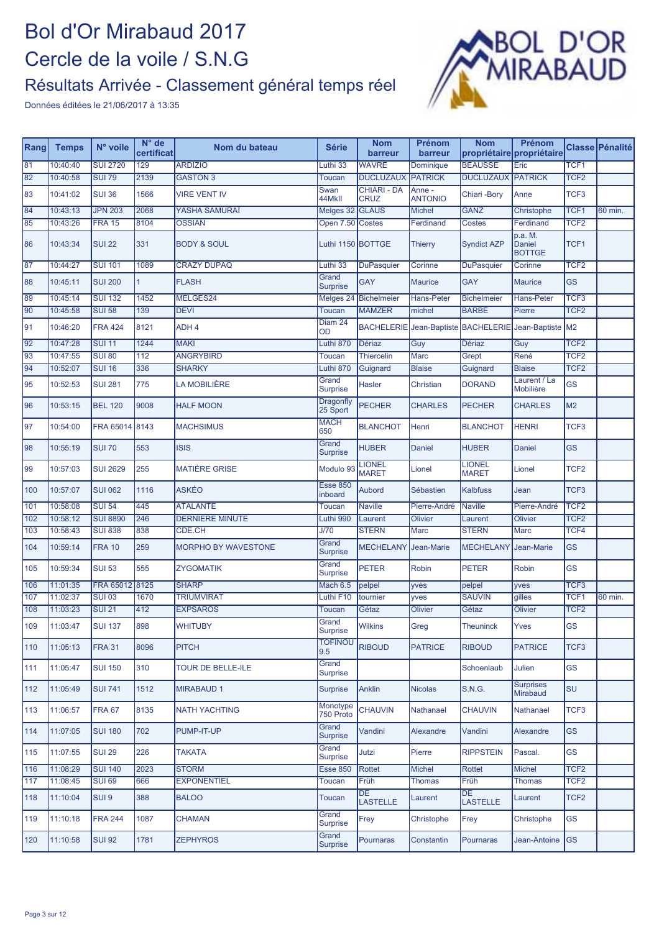

| Rang | <b>Temps</b> | N° voile         | $N^{\circ}$ de<br>certificat | Nom du bateau          | <b>Série</b>                 | <b>Nom</b><br>barreur             | Prénom<br>barreur        | <b>Nom</b>                                | Prénom<br>propriétaire propriétaire       |                  | Classe Pénalité |
|------|--------------|------------------|------------------------------|------------------------|------------------------------|-----------------------------------|--------------------------|-------------------------------------------|-------------------------------------------|------------------|-----------------|
| 81   | 10:40:40     | <b>SUI 2720</b>  | 129                          | <b>ARDIZIO</b>         | Luthi 33                     | <b>WAVRE</b>                      | Dominique                | <b>BEAUSSE</b>                            | Eric                                      | TCF <sub>1</sub> |                 |
| 82   | 10:40:58     | <b>SUI 79</b>    | 2139                         | <b>GASTON 3</b>        | Toucan                       | <b>DUCLUZAUX</b>                  | <b>PATRICK</b>           | <b>DUCLUZAUX</b>                          | <b>PATRICK</b>                            | TCF <sub>2</sub> |                 |
| 83   | 10:41:02     | <b>SUI 36</b>    | 1566                         | <b>VIRE VENT IV</b>    | Swan<br>44MkII               | <b>CHIARI - DA</b><br><b>CRUZ</b> | Anne -<br><b>ANTONIO</b> | Chiari-Bory                               | Anne                                      | TCF <sub>3</sub> |                 |
| 84   | 10:43:13     | <b>JPN 203</b>   | 2068                         | YASHA SAMURAÏ          | Melges 32                    | <b>GLAUS</b>                      | <b>Michel</b>            | <b>GANZ</b>                               | Christophe                                | TCF <sub>1</sub> | $60$ min.       |
| 85   | 10:43:26     | <b>FRA 15</b>    | 8104                         | <b>OSSIAN</b>          | Open 7.50 Costes             |                                   | Ferdinand                | Costes                                    | Ferdinand                                 | TCF <sub>2</sub> |                 |
| 86   | 10:43:34     | <b>SUI 22</b>    | 331                          | <b>BODY &amp; SOUL</b> | Luthi 1150 BOTTGE            |                                   | Thierry                  | <b>Syndict AZP</b>                        | p.a. M.<br><b>Daniel</b><br><b>BOTTGE</b> | TCF1             |                 |
| 87   | 10:44:27     | <b>SUI 101</b>   | 1089                         | <b>CRAZY DUPAQ</b>     | Luthi 33                     | <b>DuPasquier</b>                 | Corinne                  | <b>DuPasquier</b>                         | Corinne                                   | TCF <sub>2</sub> |                 |
| 88   | 10:45:11     | <b>SUI 200</b>   | $\mathbf{1}$                 | <b>FLASH</b>           | Grand<br><b>Surprise</b>     | <b>GAY</b>                        | Maurice                  | <b>GAY</b>                                | <b>Maurice</b>                            | <b>GS</b>        |                 |
| 89   | 10:45:14     | <b>SUI 132</b>   | 1452                         | MELGES24               | Melges <sub>24</sub>         | <b>Bichelmeier</b>                | <b>Hans-Peter</b>        | <b>Bichelmeier</b>                        | Hans-Peter                                | TCF <sub>3</sub> |                 |
| 90   | 10:45:58     | <b>SUI 58</b>    | 139                          | <b>DEVI</b>            | <b>Toucan</b>                | <b>MAMZER</b>                     | michel                   | <b>BARBÉ</b>                              | Pierre                                    | TCF <sub>2</sub> |                 |
| 91   | 10:46:20     | <b>FRA 424</b>   | 8121                         | ADH 4                  | Diam $24$<br>OD              | <b>BACHELERIE</b>                 |                          | Jean-Baptiste BACHELERIE Jean-Baptiste M2 |                                           |                  |                 |
| 92   | 10:47:28     | <b>SUI 11</b>    | 1244                         | <b>MAKI</b>            | Luthi 870                    | <b>Dériaz</b>                     | Guy                      | <b>Dériaz</b>                             | Guy                                       | TCF <sub>2</sub> |                 |
| 93   | 10:47:55     | <b>SUI 80</b>    | 112                          | <b>ANGRYBIRD</b>       | Toucan                       | <b>Thiercelin</b>                 | <b>Marc</b>              | Grept                                     | René                                      | TCF <sub>2</sub> |                 |
| 94   | 10:52:07     | <b>SUI 16</b>    | 336                          | <b>SHARKY</b>          | Luthi 870                    | Guignard                          | <b>Blaise</b>            | Guignard                                  | <b>Blaise</b>                             | TCF <sub>2</sub> |                 |
| 95   | 10:52:53     | <b>SUI 281</b>   | 775                          | LA MOBILIÈRE           | Grand<br><b>Surprise</b>     | Hasler                            | Christian                | <b>DORAND</b>                             | Laurent / La<br>Mobilière                 | <b>GS</b>        |                 |
| 96   | 10:53:15     | <b>BEL 120</b>   | 9008                         | <b>HALF MOON</b>       | <b>Dragonfly</b><br>25 Sport | <b>PECHER</b>                     | <b>CHARLES</b>           | <b>PECHER</b>                             | <b>CHARLES</b>                            | M <sub>2</sub>   |                 |
| 97   | 10:54:00     | FRA 65014 8143   |                              | <b>MACHSIMUS</b>       | <b>MACH</b><br>650           | <b>BLANCHOT</b>                   | Henri                    | <b>BLANCHOT</b>                           | <b>HENRI</b>                              | TCF <sub>3</sub> |                 |
| 98   | 10:55:19     | <b>SUI 70</b>    | 553                          | <b>ISIS</b>            | Grand<br><b>Surprise</b>     | <b>HUBER</b>                      | <b>Daniel</b>            | <b>HUBER</b>                              | <b>Daniel</b>                             | <b>GS</b>        |                 |
| 99   | 10:57:03     | <b>SUI 2629</b>  | 255                          | <b>MATIÈRE GRISE</b>   | Modulo 93                    | <b>LIONEL</b><br><b>MARET</b>     | Lionel                   | <b>LIONEL</b><br><b>MARET</b>             | Lionel                                    | TCF <sub>2</sub> |                 |
| 100  | 10:57:07     | <b>SUI 062</b>   | 1116                         | <b>ASKÉO</b>           | <b>Esse 850</b><br>inboard   | <b>Aubord</b>                     | Sébastien                | <b>Kalbfuss</b>                           | Jean                                      | TCF <sub>3</sub> |                 |
| 101  | 10:58:08     | <b>SUI 54</b>    | 445                          | <b>ATALANTE</b>        | <b>Toucan</b>                | <b>Naville</b>                    | Pierre-André             | <b>Naville</b>                            | Pierre-André                              | TCF <sub>2</sub> |                 |
| 102  | 10:58:12     | <b>SUI 8890</b>  | 246                          | <b>DERNIERE MINUTE</b> | Luthi 990                    | Laurent                           | <b>Olivier</b>           | Laurent                                   | <b>Olivier</b>                            | TCF <sub>2</sub> |                 |
| 103  | 10:58:43     | <b>SUI 838</b>   | 838                          | CDE.CH                 | J/70                         | <b>STERN</b>                      | <b>Marc</b>              | <b>STERN</b>                              | <b>Marc</b>                               | TCF4             |                 |
| 104  | 10:59:14     | <b>FRA 10</b>    | 259                          | MORPHO BY WAVESTONE    | Grand<br><b>Surprise</b>     | <b>MECHELANY</b>                  | Jean-Marie               | <b>MECHELANY</b>                          | Jean-Marie                                | <b>GS</b>        |                 |
| 105  | 10:59:34     | <b>SUI 53</b>    | 555                          | <b>ZYGOMATIK</b>       | Grand<br><b>Surprise</b>     | <b>PETER</b>                      | <b>Robin</b>             | <b>PETER</b>                              | <b>Robin</b>                              | <b>GS</b>        |                 |
| 106  | 11:01:35     | FRA 65012 8125   |                              | <b>SHARP</b>           | Mach 6.5                     | pelpel                            | yves                     | pelpel                                    | yves                                      | TCF <sub>3</sub> |                 |
| 107  | 11:02:37     | <b>SUI 03</b>    | 1670                         | <b>TRIUMVIRAT</b>      | Luthi F10                    | tournier                          | yves                     | <b>SAUVIN</b>                             | gilles                                    | TCF <sub>1</sub> | 60 min.         |
| 108  | 11:03:23     | <b>SUI 21</b>    | 412                          | <b>EXPSAROS</b>        | Toucan                       | Gétaz                             | Olivier                  | Gétaz                                     | <b>Olivier</b>                            | TCF <sub>2</sub> |                 |
| 109  | 11:03:47     | <b>SUI 137</b>   | 898                          | <b>WHITUBY</b>         | Grand<br><b>Surprise</b>     | <b>Wilkins</b>                    | Greg                     | <b>Theuninck</b>                          | Yves                                      | <b>GS</b>        |                 |
| 110  | 11:05:13     | <b>FRA 31</b>    | 8096                         | <b>PITCH</b>           | <b>TOFINOU</b><br>9.5        | <b>RIBOUD</b>                     | <b>PATRICE</b>           | <b>RIBOUD</b>                             | <b>PATRICE</b>                            | TCF <sub>3</sub> |                 |
| 111  | 11:05:47     | <b>SUI 150</b>   | 310                          | TOUR DE BELLE-ILE      | Grand<br><b>Surprise</b>     |                                   |                          | Schoenlaub                                | <b>Julien</b>                             | <b>GS</b>        |                 |
| 112  | 11:05:49     | <b>SUI 741</b>   | 1512                         | <b>MIRABAUD 1</b>      | <b>Surprise</b>              | <b>Anklin</b>                     | <b>Nicolas</b>           | <b>S.N.G.</b>                             | <b>Surprises</b><br>Mirabaud              | <b>SU</b>        |                 |
| 113  | 11:06:57     | <b>FRA 67</b>    | 8135                         | <b>NATH YACHTING</b>   | Monotype<br>750 Proto        | <b>CHAUVIN</b>                    | Nathanael                | <b>CHAUVIN</b>                            | Nathanael                                 | TCF <sub>3</sub> |                 |
| 114  | 11:07:05     | <b>SUI 180</b>   | 702                          | PUMP-IT-UP             | Grand<br><b>Surprise</b>     | Vandini                           | Alexandre                | Vandini                                   | Alexandre                                 | <b>GS</b>        |                 |
| 115  | 11:07:55     | <b>SUI 29</b>    | 226                          | <b>TAKATA</b>          | Grand<br><b>Surprise</b>     | Jutzi                             | Pierre                   | <b>RIPPSTEIN</b>                          | Pascal.                                   | <b>GS</b>        |                 |
| 116  | 11:08:29     | <b>SUI 140</b>   | 2023                         | <b>STORM</b>           | <b>Esse 850</b>              | <b>Rottet</b>                     | <b>Michel</b>            | Rottet                                    | <b>Michel</b>                             | TCF <sub>2</sub> |                 |
| 117  | 11:08:45     | <b>SUI 69</b>    | 666                          | <b>EXPONENTIEL</b>     | Toucan                       | Früh                              | Thomas                   | Früh                                      | <b>Thomas</b>                             | TCF <sub>2</sub> |                 |
| 118  | 11:10:04     | SUI <sub>9</sub> | 388                          | <b>BALOO</b>           | <b>Toucan</b>                | <b>DE</b><br><b>LASTELLE</b>      | Laurent                  | DE<br><b>LASTELLE</b>                     | Laurent                                   | TCF <sub>2</sub> |                 |
| 119  | 11:10:18     | <b>FRA 244</b>   | 1087                         | <b>CHAMAN</b>          | Grand<br><b>Surprise</b>     | Frey                              | Christophe               | Frey                                      | Christophe                                | <b>GS</b>        |                 |
| 120  | 11:10:58     | <b>SUI 92</b>    | 1781                         | <b>ZEPHYROS</b>        | Grand<br><b>Surprise</b>     | Pournaras                         | Constantin               | <b>Pournaras</b>                          | Jean-Antoine                              | <b>GS</b>        |                 |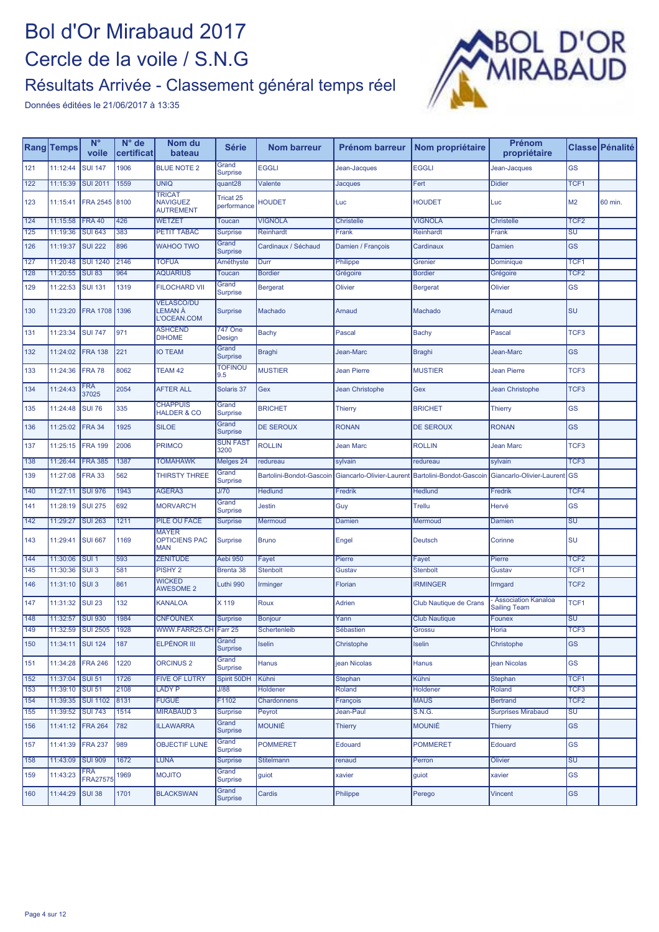

|                  | <b>Rang Temps</b>             | $N^{\circ}$<br>voile          | N° de<br>certificat | Nom du<br>bateau                                     | <b>Série</b>             | <b>Nom barreur</b>            | <b>Prénom barreur</b>     | Nom propriétaire         | Prénom<br>propriétaire                            |                                   | Classe Pénalité |
|------------------|-------------------------------|-------------------------------|---------------------|------------------------------------------------------|--------------------------|-------------------------------|---------------------------|--------------------------|---------------------------------------------------|-----------------------------------|-----------------|
| 121              | 11:12:44                      | <b>SUI 147</b>                | 1906                | <b>BLUE NOTE 2</b>                                   | Grand<br><b>Surprise</b> | <b>EGGLI</b>                  | Jean-Jacques              | <b>EGGLI</b>             | Jean-Jacques                                      | <b>GS</b>                         |                 |
| 122              | 11:15:39                      | <b>SUI 2011</b>               | 1559                | <b>UNIQ</b>                                          | quant28                  | Valente                       | Jacques                   | Fert                     | <b>Didier</b>                                     | TCF <sub>1</sub>                  |                 |
| 123              | 11:15:41                      | <b>FRA 2545</b>               | 8100                | <b>TRICAT</b><br><b>NAVIGUEZ</b><br><b>AUTREMENT</b> | Tricat 25<br>performance | <b>HOUDET</b>                 | Luc                       | <b>HOUDET</b>            | Luc                                               | M <sub>2</sub>                    | 60 min.         |
| 124              | 11:15:58                      | <b>FRA 40</b>                 | 426                 | <b>WETZET</b>                                        | Toucan                   | <b>VIGNOLA</b>                | <b>Christelle</b>         | <b>VIGNOLA</b>           | <b>Christelle</b>                                 | TCF <sub>2</sub>                  |                 |
| 125              | 11:19:36                      | <b>SUI 643</b>                | 383                 | <b>PETIT TABAC</b>                                   | Surprise                 | Reinhardt                     | Frank                     | Reinhardt                | Frank                                             | $\overline{\mathsf{s}\mathsf{u}}$ |                 |
| 126              | 11:19:37                      | <b>SUI 222</b>                | 896                 | <b>WAHOO TWO</b>                                     | Grand<br>Surprise        | Cardinaux / Séchaud           | Damien / François         | Cardinaux                | Damien                                            | <b>GS</b>                         |                 |
| 127              | 11:20:48                      | <b>SUI 1240</b>               | 2146                | <b>TOFUA</b>                                         | Améthyste                | Durr                          | Philippe                  | Grenier                  | Dominique                                         | TCF <sub>1</sub>                  |                 |
| $\overline{128}$ | 11:20:55                      | <b>SUI 83</b>                 | 964                 | <b>AQUARIUS</b>                                      | Toucan<br>Grand          | <b>Bordier</b>                | Grégoire                  | <b>Bordier</b>           | Grégoire                                          | TCF <sub>2</sub>                  |                 |
| 129              | 11:22:53                      | <b>SUI 131</b>                | 1319                | <b>FILOCHARD VII</b><br><b>VELASCO/DU</b>            | <b>Surprise</b>          | <b>Bergerat</b>               | Olivier                   | <b>Bergerat</b>          | Olivier                                           | GS                                |                 |
| 130              | 11:23:20                      | <b>FRA 1708</b>               | 1396                | LEMAN À<br>L'OCEAN.COM                               | Surprise                 | Machado                       | Arnaud                    | Machado                  | Arnaud                                            | SU                                |                 |
| 131              | 11:23:34                      | <b>SUI 747</b>                | 971                 | <b>ASHCEND</b><br><b>DIHOME</b>                      | <b>747 One</b><br>Design | Bachy                         | Pascal                    | <b>Bachy</b>             | Pascal                                            | TCF3                              |                 |
| 132              | 11:24:02                      | <b>FRA 138</b>                | 221                 | <b>IO TEAM</b>                                       | Grand<br>Surprise        | <b>Braghi</b>                 | Jean-Marc                 | <b>Braghi</b>            | Jean-Marc                                         | <b>GS</b>                         |                 |
| 133              | 11:24:36                      | <b>FRA 78</b>                 | 8062                | TEAM <sub>42</sub>                                   | <b>TOFINOU</b><br>9.5    | <b>MUSTIER</b>                | <b>Jean Pierre</b>        | <b>MUSTIER</b>           | <b>Jean Pierre</b>                                | TCF3                              |                 |
| 134              | 11:24:43                      | FRA<br>37025                  | 2054                | <b>AFTER ALL</b>                                     | Solaris 37               | Gex                           | <b>Jean Christophe</b>    | Gex                      | Jean Christophe                                   | TCF3                              |                 |
| 135              | 11:24:48                      | <b>SUI 76</b>                 | 335                 | <b>CHAPPUIS</b><br><b>HALDER &amp; CO</b>            | Grand<br><b>Surprise</b> | <b>BRICHET</b>                | <b>Thierry</b>            | <b>BRICHET</b>           | <b>Thierry</b>                                    | GS                                |                 |
| 136              | 11:25:02                      | <b>FRA 34</b>                 | 1925                | <b>SILOE</b>                                         | Grand<br>Surprise        | <b>DE SEROUX</b>              | <b>RONAN</b>              | <b>DE SEROUX</b>         | <b>RONAN</b>                                      | <b>GS</b>                         |                 |
| 137              | 11:25:15                      | <b>FRA 199</b>                | 2006                | <b>PRIMCO</b>                                        | <b>SUN FAST</b><br>3200  | <b>ROLLIN</b>                 | <b>Jean Marc</b>          | <b>ROLLIN</b>            | <b>Jean Marc</b>                                  | TCF3                              |                 |
| 138              | 11:26:44                      | <b>FRA 385</b>                | 1387                | <b>TOMAHAWK</b>                                      | Melges 24                | redureau                      | sylvain                   | redureau                 | sylvain                                           | TCF3                              |                 |
| 139              | 11:27:08                      | <b>FRA 33</b>                 | 562                 | THIRSTY THREE                                        | Grand<br>Surprise        | Bartolini-Bondot-Gascoin      | Giancarlo-Olivier-Laurent | Bartolini-Bondot-Gascoin | Giancarlo-Olivier-Laurent                         | <b>IGS</b>                        |                 |
| 140              | 11:27:11                      | <b>SUI 976</b>                | 1943                | AGERA3                                               | J/70                     | Hedlund                       | Fredrik                   | <b>Hedlund</b>           | Fredrik                                           | TCF4                              |                 |
| 141              | 11:28:19                      | <b>SUI 275</b>                | 692                 | <b>MORVARC'H</b>                                     | Grand<br>Surprise        | Jestin                        | Guy                       | Trellu                   | Hervé                                             | <b>GS</b>                         |                 |
| 142              | 11:29:27                      | <b>SUI 263</b>                | 1211                | PILE OU FACE                                         | Surprise                 | Mermoud                       | Damien                    | Mermoud                  | Damien                                            | SU                                |                 |
| 143              | 11:29:41                      | <b>SUI 667</b>                | 1169                | <b>MAYER</b><br><b>OPTICIENS PAC</b><br><b>MAN</b>   | Surprise                 | <b>Bruno</b>                  | Engel                     | <b>Deutsch</b>           | Corinne                                           | SU                                |                 |
| 144              | 11:30:06                      | $SUI$ 1                       | 593                 | <b>ZÉNITUDE</b>                                      | Aebi 950                 | Fayet                         | Pierre                    | Fayet                    | Pierre                                            | TCF <sub>2</sub>                  |                 |
| 145              | 11:30:36                      | SUI <sub>3</sub>              | 581                 | PISHY <sub>2</sub>                                   | Brenta 38                | <b>Stenbolt</b>               | Gustav                    | <b>Stenbolt</b>          | Gustav                                            | TCF <sub>1</sub>                  |                 |
| 146              | 11:31:10                      | SUI <sub>3</sub>              | 861                 | <b>WICKED</b><br><b>AWESOME 2</b>                    | Luthi 990                | Irminger                      | Florian                   | <b>IRMINGER</b>          | Irmgard                                           | TCF <sub>2</sub>                  |                 |
| 147              | 11:31:32                      | <b>SUI 23</b>                 | 132                 | <b>KANALOA</b>                                       | X 119                    | Roux                          | <b>Adrien</b>             | Club Nautique de Crans   | <b>Association Kanaloa</b><br><b>Sailing Team</b> | TCF <sub>1</sub>                  |                 |
| 148              | 11:32:57                      | <b>SUI 930</b>                | 1984                | <b>CNFOUNEX</b>                                      | Surprise                 | Bonjour                       | Yann                      | <b>Club Nautique</b>     | Founex                                            | SU                                |                 |
| 149<br>150       | 11:32:59 SUI 2505<br>11:34:11 | <b>SUI 124</b>                | 1928<br>187         | WWW.FARR25.CH Farr 25<br>ELPÉNOR III                 | Grand<br><b>Surprise</b> | Schertenleib<br><b>Iselin</b> | Sébastien<br>Christophe   | Grossu<br>Iselin         | Horia<br>Christophe                               | TCF <sub>3</sub><br><b>GS</b>     |                 |
| 151              | 11:34:28                      | <b>FRA 246</b>                | 1220                | ORCINUS <sub>2</sub>                                 | Grand<br>Surprise        | Hanus                         | jean Nicolas              | Hanus                    | jean Nicolas                                      | <b>GS</b>                         |                 |
| 152              | 11:37:04                      | <b>SUI 51</b>                 | 1726                | <b>FIVE OF LUTRY</b>                                 | Spirit 50DH              | Kühni                         | <b>Stephan</b>            | Kühni                    | <b>Stephan</b>                                    | TCF1                              |                 |
| 153              | 11:39:10                      | <b>SUI 51</b>                 | 2108                | <b>LADY P</b>                                        | J/88                     | Holdener                      | Roland                    | Holdener                 | Roland                                            | TCF3                              |                 |
| 154              | 11:39:35                      | <b>SUI 1102</b>               | 8131                | <b>FUGUE</b>                                         | F1102                    | Chardonnens                   | François                  | <b>MAUS</b>              | <b>Bertrand</b>                                   | TCF <sub>2</sub>                  |                 |
| 155              | 11:39:52                      | <b>SUI 743</b>                | 1514                | <b>MIRABAUD 3</b>                                    | <b>Surprise</b>          | Peyrot                        | Jean-Paul                 | <b>S.N.G.</b>            | <b>Surprises Mirabaud</b>                         | SU                                |                 |
| 156              | 11:41:12 FRA 264              |                               | 782                 | <b>ILLAWARRA</b>                                     | Grand<br>Surprise        | <b>MOUNIÉ</b>                 | <b>Thierry</b>            | <b>MOUNIÉ</b>            | <b>Thierry</b>                                    | <b>GS</b>                         |                 |
| 157              | 11:41:39                      | <b>FRA 237</b>                | 989                 | <b>OBJECTIF LUNE</b>                                 | Grand<br>Surprise        | <b>POMMERET</b>               | Edouard                   | <b>POMMERET</b>          | Edouard                                           | <b>GS</b>                         |                 |
| 158              | 11:43:09                      | <b>SUI 909</b>                | 1672                | <b>LUNA</b>                                          | <b>Surprise</b>          | Stitelmann                    | renaud                    | Perron                   | Olivier                                           | $\overline{\mathsf{SU}}$          |                 |
| 159              | 11:43:23                      | <b>FRA</b><br><b>FRA27575</b> | 1969                | <b>OTILOM</b>                                        | Grand<br><b>Surprise</b> | guiot                         | xavier                    | guiot                    | xavier                                            | <b>GS</b>                         |                 |
| 160              | 11:44:29                      | <b>SUI 38</b>                 | 1701                | <b>BLACKSWAN</b>                                     | Grand<br><b>Surprise</b> | Cardis                        | Philippe                  | Perego                   | Vincent                                           | <b>GS</b>                         |                 |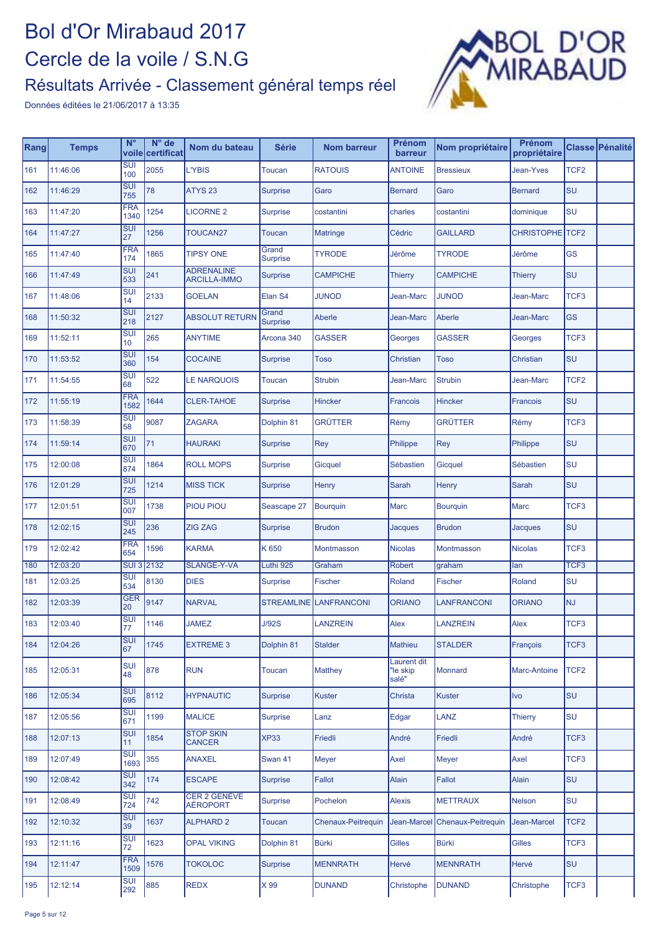

| Rang | <b>Temps</b> | $N^{\circ}$                     | $N^{\circ}$ de<br>voile certificat | Nom du bateau                            | <b>Série</b>             | <b>Nom barreur</b>     | Prénom<br>barreur                | Nom propriétaire   | Prénom<br>propriétaire |                  | Classe Pénalité |
|------|--------------|---------------------------------|------------------------------------|------------------------------------------|--------------------------|------------------------|----------------------------------|--------------------|------------------------|------------------|-----------------|
| 161  | 11:46:06     | <b>SUI</b><br>100               | 2055                               | <b>L'YBIS</b>                            | <b>Toucan</b>            | <b>RATOUIS</b>         | <b>ANTOINE</b>                   | <b>Bressieux</b>   | Jean-Yves              | TCF <sub>2</sub> |                 |
| 162  | 11:46:29     | <b>SUI</b><br>755               | 78                                 | <b>ATYS 23</b>                           | <b>Surprise</b>          | Garo                   | <b>Bernard</b>                   | Garo               | <b>Bernard</b>         | SU               |                 |
| 163  | 11:47:20     | <b>FRA</b><br>1340              | 1254                               | <b>LICORNE 2</b>                         | <b>Surprise</b>          | costantini             | charles                          | costantini         | dominique              | SU               |                 |
| 164  | 11:47:27     | <b>SUI</b><br>27                | 1256                               | <b>TOUCAN27</b>                          | <b>Toucan</b>            | <b>Matringe</b>        | Cédric                           | <b>GAILLARD</b>    | CHRISTOPHE TCF2        |                  |                 |
| 165  | 11:47:40     | <b>FRA</b><br>174               | 1865                               | <b>TIPSY ONE</b>                         | Grand<br><b>Surprise</b> | <b>TYRODE</b>          | Jérôme                           | <b>TYRODE</b>      | Jérôme                 | GS               |                 |
| 166  | 11:47:49     | <b>SUI</b><br>533               | 241                                | <b>ADRENALINE</b><br><b>ARCILLA-IMMO</b> | <b>Surprise</b>          | <b>CAMPICHE</b>        | <b>Thierry</b>                   | <b>CAMPICHE</b>    | <b>Thierry</b>         | <b>SU</b>        |                 |
| 167  | 11:48:06     | <b>SUI</b><br>14                | 2133                               | <b>GOELAN</b>                            | Elan S4                  | <b>JUNOD</b>           | Jean-Marc                        | <b>JUNOD</b>       | Jean-Marc              | TCF <sub>3</sub> |                 |
| 168  | 11:50:32     | <b>SUI</b><br>218               | 2127                               | <b>ABSOLUT RETURN</b>                    | Grand<br><b>Surprise</b> | Aberle                 | Jean-Marc                        | Aberle             | Jean-Marc              | <b>GS</b>        |                 |
| 169  | 11:52:11     | <b>SUI</b><br>10                | 265                                | <b>ANYTIME</b>                           | Arcona 340               | <b>GASSER</b>          | Georges                          | <b>GASSER</b>      | Georges                | TCF <sub>3</sub> |                 |
| 170  | 11:53:52     | <b>SUI</b><br>360               | 154                                | <b>COCAINE</b>                           | <b>Surprise</b>          | Toso                   | Christian                        | <b>Toso</b>        | Christian              | SU               |                 |
| 171  | 11:54:55     | $\overline{\text{SUI}}$<br>68   | 522                                | <b>LE NARQUOIS</b>                       | <b>Toucan</b>            | <b>Strubin</b>         | Jean-Marc                        | <b>Strubin</b>     | Jean-Marc              | TCF <sub>2</sub> |                 |
| 172  | 11:55:19     | <b>FRA</b><br>1582              | 1644                               | <b>CLER-TAHOE</b>                        | <b>Surprise</b>          | <b>Hincker</b>         | Francois                         | <b>Hincker</b>     | Francois               | <b>SU</b>        |                 |
| 173  | 11:58:39     | <b>SUI</b><br>58                | 9087                               | <b>ZAGARA</b>                            | Dolphin 81               | <b>GRÜTTER</b>         | Rémy                             | <b>GRÜTTER</b>     | Rémy                   | TCF <sub>3</sub> |                 |
| 174  | 11:59:14     | <b>SUI</b><br>670               | 71                                 | <b>HAURAKI</b>                           | <b>Surprise</b>          | <b>Rey</b>             | Philippe                         | Rey                | Philippe               | SU               |                 |
| 175  | 12:00:08     | <b>SUI</b><br>874               | 1864                               | <b>ROLL MOPS</b>                         | <b>Surprise</b>          | Gicquel                | Sébastien                        | Gicquel            | <b>Sébastien</b>       | SU               |                 |
| 176  | 12:01:29     | <b>SUI</b><br>725               | 1214                               | <b>MISS TICK</b>                         | <b>Surprise</b>          | <b>Henry</b>           | Sarah                            | <b>Henry</b>       | Sarah                  | SU               |                 |
| 177  | 12:01:51     | $\overline{\text{SUI}}$<br>007  | 1738                               | PIOU PIOU                                | Seascape 27              | <b>Bourguin</b>        | Marc                             | <b>Bourguin</b>    | Marc                   | TCF <sub>3</sub> |                 |
| 178  | 12:02:15     | <b>SUI</b><br>245               | 236                                | <b>ZIG ZAG</b>                           | <b>Surprise</b>          | <b>Brudon</b>          | <b>Jacques</b>                   | <b>Brudon</b>      | <b>Jacques</b>         | <b>SU</b>        |                 |
| 179  | 12:02:42     | <b>FRA</b><br>654               | 1596                               | <b>KARMA</b>                             | K 650                    | Montmasson             | <b>Nicolas</b>                   | Montmasson         | <b>Nicolas</b>         | TCF <sub>3</sub> |                 |
| 180  | 12:03:20     | SUI 3 2132                      |                                    | <b>SLANGE-Y-VA</b>                       | Luthi 925                | Graham                 | Robert                           | graham             | lan                    | TCF <sub>3</sub> |                 |
| 181  | 12:03:25     | <b>SUI</b><br>534               | 8130                               | <b>DIES</b>                              | <b>Surprise</b>          | Fischer                | Roland                           | Fischer            | Roland                 | SU               |                 |
| 182  | 12:03:39     | <b>GER</b><br>20                | 9147                               | <b>NARVAL</b>                            |                          | STREAMLINE LANFRANCONI | <b>ORIANO</b>                    | <b>LANFRANCONI</b> | <b>ORIANO</b>          | <b>NJ</b>        |                 |
| 183  | 12:03:40     | <b>SUI</b><br>77                | 1146                               | <b>JAMEZ</b>                             | <b>J/92S</b>             | LANZREIN               | <b>Alex</b>                      | <b>LANZREIN</b>    | Alex                   | TCF <sub>3</sub> |                 |
| 184  | 12:04:26     | <b>SUI</b><br>67                | 1745                               | <b>EXTREME 3</b>                         | Dolphin 81               | <b>Stalder</b>         | Mathieu                          | <b>STALDER</b>     | François               | TCF3             |                 |
| 185  | 12:05:31     | <b>SUI</b><br>48                | 878                                | <b>RUN</b>                               | Toucan                   | Matthey                | Laurent dit<br>"le skip<br>salé" | Monnard            | Marc-Antoine           | TCF <sub>2</sub> |                 |
| 186  | 12:05:34     | <b>SUI</b><br>695               | 8112                               | <b>HYPNAUTIC</b>                         | <b>Surprise</b>          | <b>Kuster</b>          | Christa                          | <b>Kuster</b>      | Ivo                    | lsu              |                 |
| 187  | 12:05:56     | <b>SUI</b><br>671               | 1199                               | <b>MALICE</b>                            | <b>Surprise</b>          | Lanz                   | Edgar                            | <b>LANZ</b>        | <b>Thierry</b>         | SU               |                 |
| 188  | 12:07:13     | <b>SUI</b><br>11                | 1854                               | <b>STOP SKIN</b><br><b>CANCER</b>        | <b>XP33</b>              | Friedli                | André                            | Friedli            | André                  | TCF <sub>3</sub> |                 |
| 189  | 12:07:49     | $\overline{\text{SUI}}$<br>1693 | 355                                | <b>ANAXEL</b>                            | Swan 41                  | Meyer                  | Axel                             | <b>Meyer</b>       | Axel                   | TCF3             |                 |
| 190  | 12:08:42     | <b>SUI</b><br>342               | 174                                | <b>ESCAPE</b>                            | Surprise                 | Fallot                 | Alain                            | Fallot             | Alain                  | <b>SU</b>        |                 |
| 191  | 12:08:49     | <b>SUI</b><br>724               | 742                                | <b>CER 2 GENÈVE</b><br><b>AÉROPORT</b>   | <b>Surprise</b>          | Pochelon               | <b>Alexis</b>                    | <b>METTRAUX</b>    | <b>Nelson</b>          | SU               |                 |
| 192  | 12:10:32     | <b>SUI</b><br>39                | 1637                               | <b>ALPHARD 2</b>                         | Toucan                   | Chenaux-Peitrequin     | Jean-Marcel                      | Chenaux-Peitrequin | Jean-Marcel            | TCF <sub>2</sub> |                 |
| 193  | 12:11:16     | <b>SUI</b><br>72                | 1623                               | <b>OPAL VIKING</b>                       | Dolphin 81               | <b>Bürki</b>           | <b>Gilles</b>                    | <b>Bürki</b>       | Gilles                 | TCF3             |                 |
| 194  | 12:11:47     | <b>FRA</b><br>1509              | 1576                               | <b>TOKOLOC</b>                           | <b>Surprise</b>          | <b>MENNRATH</b>        | Hervé                            | <b>MENNRATH</b>    | Hervé                  | SU               |                 |
| 195  | 12:12:14     | <b>SUI</b><br>292               | 885                                | <b>REDX</b>                              | X 99                     | <b>DUNAND</b>          | Christophe                       | <b>DUNAND</b>      | Christophe             | TCF3             |                 |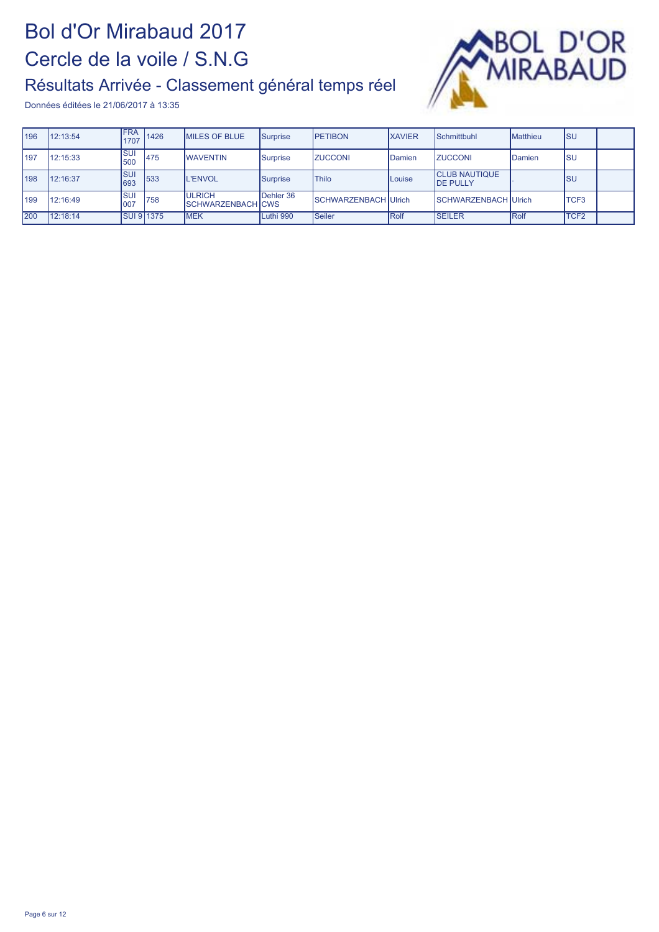

| 196  | 12:13:54 | <b>FRA</b><br>1707 | 1426 | <b>IMILES OF BLUE</b>                     | Surprise  | <b>PETIBON</b>              | <b>XAVIER</b> | Schmittbuhl                              | <b>Matthieu</b> | <b>ISU</b>       |  |
|------|----------|--------------------|------|-------------------------------------------|-----------|-----------------------------|---------------|------------------------------------------|-----------------|------------------|--|
| 1197 | 12:15:33 | <b>ISUI</b><br>500 | 475  | <b>WAVENTIN</b>                           | Surprise  | <b>ZUCCONI</b>              | Damien        | <b>ZUCCONI</b>                           | Damien          | lsu              |  |
| 198  | 12:16:37 | <b>ISUI</b><br>693 | 533  | <b>IL'ENVOL</b>                           | Surprise  | <b>Thilo</b>                | Louise        | <b>CLUB NAUTIQUE</b><br><b>IDE PULLY</b> |                 | Isu              |  |
| 1199 | 12:16:49 | <b>SUI</b><br>007  | 758  | <b>ULRICH</b><br><b>SCHWARZENBACH CWS</b> | Dehler 36 | <b>SCHWARZENBACH Ulrich</b> |               | <b>ISCHWARZENBACH Ulrich</b>             |                 | TCF3             |  |
| 200  | 12:18:14 | <b>SUI 9 1375</b>  |      | <b>IMEK</b>                               | Luthi 990 | <b>Seiler</b>               | Rolf          | <b>SEILER</b>                            | <b>IRolf</b>    | TCF <sub>2</sub> |  |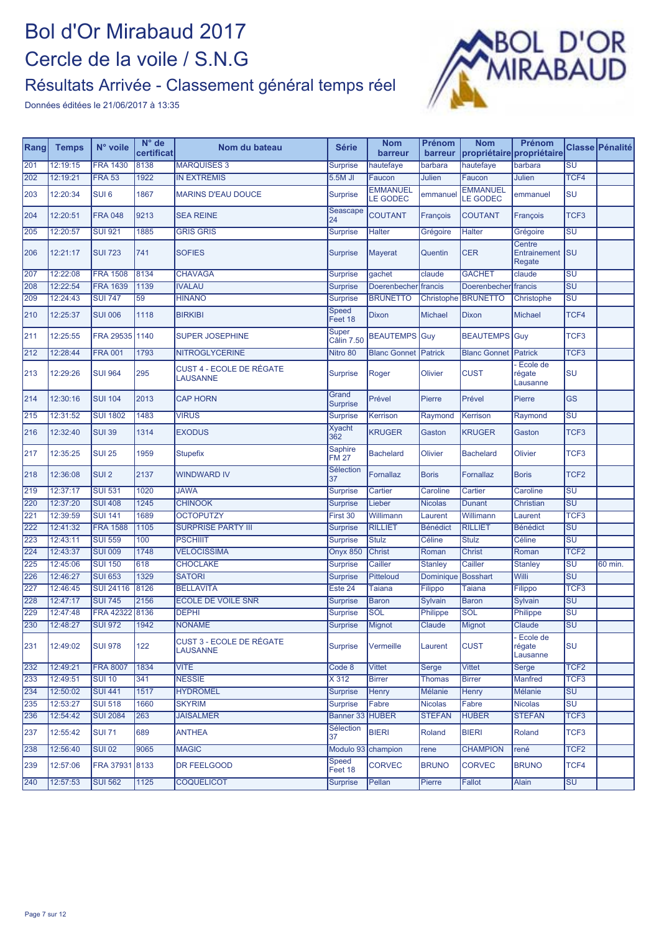

| Rang | <b>Temps</b> | N° voile         | $N^{\circ}$ de<br>certificat | Nom du bateau                                      | <b>Série</b>                   | <b>Nom</b><br>barreur       | Prénom<br>barreur | <b>Nom</b>                         | Prénom<br>propriétaire propriétaire |                                   | Classe Pénalité |
|------|--------------|------------------|------------------------------|----------------------------------------------------|--------------------------------|-----------------------------|-------------------|------------------------------------|-------------------------------------|-----------------------------------|-----------------|
| 201  | 12:19:15     | <b>FRA 1430</b>  | 8138                         | <b>MARQUISES 3</b>                                 | <b>Surprise</b>                | hautefaye                   | barbara           | hautefaye                          | barbara                             | SU                                |                 |
| 202  | 12:19:21     | <b>FRA 53</b>    | 1922                         | <b>IN EXTREMIS</b>                                 | $5.5M$ JI                      | Faucon                      | <b>Julien</b>     | Faucon                             | Julien                              | TCF4                              |                 |
| 203  | 12:20:34     | SUI <sub>6</sub> | 1867                         | <b>MARINS D'EAU DOUCE</b>                          | <b>Surprise</b>                | <b>EMMANUEL</b><br>LE GODEC | emmanuel          | <b>EMMANUEL</b><br><b>LE GODEC</b> | emmanuel                            | SU                                |                 |
| 204  | 12:20:51     | <b>FRA 048</b>   | 9213                         | <b>SEA REINE</b>                                   | Seascape<br>24                 | <b>COUTANT</b>              | François          | <b>COUTANT</b>                     | François                            | TCF <sub>3</sub>                  |                 |
| 205  | 12:20:57     | <b>SUI 921</b>   | 1885                         | <b>GRIS GRIS</b>                                   | <b>Surprise</b>                | Halter                      | Grégoire          | <b>Halter</b>                      | Grégoire                            | SU                                |                 |
| 206  | 12:21:17     | <b>SUI 723</b>   | 741                          | <b>SOFIES</b>                                      | <b>Surprise</b>                | Mayerat                     | Quentin           | <b>CER</b>                         | Centre<br>Entrainement SU<br>Regate |                                   |                 |
| 207  | 12:22:08     | <b>FRA 1508</b>  | 8134                         | <b>CHAVAGA</b>                                     | <b>Surprise</b>                | gachet                      | claude            | <b>GACHET</b>                      | claude                              | $\overline{\mathsf{S}\mathsf{U}}$ |                 |
| 208  | 12:22:54     | <b>FRA 1639</b>  | 1139                         | <b>IVALAU</b>                                      | <b>Surprise</b>                | Doerenbecher                | francis           | Doerenbecher                       | francis                             | $\overline{\text{SU}}$            |                 |
| 209  | 12:24:43     | <b>SUI 747</b>   | 59                           | <b>HINANO</b>                                      | <b>Surprise</b>                | <b>BRUNETTO</b>             |                   | Christophe   BRUNETTO              | Christophe                          | SU                                |                 |
| 210  | 12:25:37     | <b>SUI 006</b>   | 1118                         | <b>BIRKIBI</b>                                     | <b>Speed</b><br>Feet 18        | <b>Dixon</b>                | <b>Michael</b>    | <b>Dixon</b>                       | <b>Michael</b>                      | TCF4                              |                 |
| 211  | 12:25:55     | FRA 29535 1140   |                              | <b>SUPER JOSEPHINE</b>                             | Super<br><b>Câlin 7.50</b>     | <b>BEAUTEMPS Guy</b>        |                   | <b>BEAUTEMPS</b>                   | Guy                                 | TCF <sub>3</sub>                  |                 |
| 212  | 12:28:44     | <b>FRA 001</b>   | 1793                         | <b>NITROGLYCERINE</b>                              | Nitro 80                       | <b>Blanc Gonnet</b>         | <b>Patrick</b>    | <b>Blanc Gonnet</b>                | <b>Patrick</b>                      | TCF <sub>3</sub>                  |                 |
| 213  | 12:29:26     | <b>SUI 964</b>   | 295                          | CUST 4 - ECOLE DE RÉGATE<br>LAUSANNE               | Surprise                       | Roger                       | <b>Olivier</b>    | <b>CUST</b>                        | Ecole de<br>régate<br>Lausanne      | SU                                |                 |
| 214  | 12:30:16     | <b>SUI 104</b>   | 2013                         | <b>CAP HORN</b>                                    | Grand<br><b>Surprise</b>       | Prével                      | <b>Pierre</b>     | Prével                             | Pierre                              | <b>GS</b>                         |                 |
| 215  | 12:31:52     | <b>SUI 1802</b>  | 1483                         | <b>VIRUS</b>                                       | <b>Surprise</b>                | Kerrison                    | Raymond           | Kerrison                           | Raymond                             | $\overline{\mathsf{SU}}$          |                 |
| 216  | 12:32:40     | <b>SUI 39</b>    | 1314                         | <b>EXODUS</b>                                      | <b>Xyacht</b><br>362           | <b>KRUGER</b>               | Gaston            | <b>KRUGER</b>                      | Gaston                              | TCF <sub>3</sub>                  |                 |
| 217  | 12:35:25     | <b>SUI 25</b>    | 1959                         | <b>Stupefix</b>                                    | <b>Saphire</b><br><b>FM 27</b> | <b>Bachelard</b>            | Olivier           | <b>Bachelard</b>                   | <b>Olivier</b>                      | TCF <sub>3</sub>                  |                 |
| 218  | 12:36:08     | SUI <sub>2</sub> | 2137                         | <b>WINDWARD IV</b>                                 | Sélection<br>37                | Fornallaz                   | <b>Boris</b>      | Fornallaz                          | <b>Boris</b>                        | TCF <sub>2</sub>                  |                 |
| 219  | 12:37:17     | <b>SUI 531</b>   | 1020                         | <b>JAWA</b>                                        | <b>Surprise</b>                | Cartier                     | Caroline          | Cartier                            | Caroline                            | SU                                |                 |
| 220  | 12:37:20     | <b>SUI 408</b>   | 1245                         | <b>CHINOOK</b>                                     | <b>Surprise</b>                | Lieber                      | <b>Nicolas</b>    | <b>Dunant</b>                      | Christian                           | $\overline{\mathsf{s}\mathsf{u}}$ |                 |
| 221  | 12:39:59     | <b>SUI 141</b>   | 1689                         | <b>OCTOPUTZY</b>                                   | First 30                       | Willimann                   | Laurent           | Willimann                          | Laurent                             | TCF <sub>3</sub>                  |                 |
| 222  | 12:41:32     | <b>FRA 1588</b>  | 1105                         | <b>SURPRISE PARTY III</b>                          | <b>Surprise</b>                | <b>RILLIET</b>              | <b>Bénédict</b>   | <b>RILLIET</b>                     | <b>Bénédict</b>                     | SU                                |                 |
| 223  | 12:43:11     | <b>SUI 559</b>   | 100                          | <b>PSCHIIIT</b>                                    | <b>Surprise</b>                | <b>Stulz</b>                | Céline            | <b>Stulz</b>                       | Céline                              | $\overline{\mathsf{s}\mathsf{u}}$ |                 |
| 224  | 12:43:37     | <b>SUI 009</b>   | 1748                         | <b>VELOCISSIMA</b>                                 | <b>Onyx 850</b>                | <b>Christ</b>               | Roman             | <b>Christ</b>                      | Roman                               | TCF <sub>2</sub>                  |                 |
| 225  | 12:45:06     | <b>SUI 150</b>   | 618                          | <b>CHOCLAKE</b>                                    | <b>Surprise</b>                | Cailler                     | <b>Stanley</b>    | Cailler                            | <b>Stanley</b>                      | SU                                | 60 min.         |
| 226  | 12:46:27     | <b>SUI 653</b>   | 1329                         | <b>SATORI</b>                                      | <b>Surprise</b>                | Pitteloud                   | Dominique         | <b>Bosshart</b>                    | Willi                               | $\overline{\mathsf{s}\mathsf{u}}$ |                 |
| 227  | 12:46:45     | <b>SUI 24116</b> | 8126                         | <b>BELLAVITA</b>                                   | Este 24                        | Taiana                      | Filippo           | Taiana                             | Filippo                             | TCF <sub>3</sub>                  |                 |
| 228  | 12:47:17     | <b>SUI 745</b>   | 2156                         | <b>ECOLE DE VOILE SNR</b>                          | <b>Surprise</b>                | <b>Baron</b>                | Sylvain           | <b>Baron</b>                       | Sylvain                             | <b>SU</b>                         |                 |
| 229  | 12:47:48     | <b>FRA 42322</b> | 8136                         | <b>DEPHI</b>                                       | <b>Surprise</b>                | <b>SOL</b>                  | Philippe          | <b>SOL</b>                         | Philippe                            | $\overline{\mathsf{s}\mathsf{u}}$ |                 |
| 230  | 12:48:27     | <b>SUI 972</b>   | 1942                         | <b>NONAME</b>                                      | <b>Surprise</b>                | Mignot                      | Claude            | Mignot                             | Claude                              | $\overline{\mathsf{SU}}$          |                 |
| 231  | 12:49:02     | <b>SUI 978</b>   | 122                          | <b>CUST 3 - ECOLE DE RÉGATE</b><br><b>LAUSANNE</b> | <b>Surprise</b>                | Vermeille                   | Laurent           | <b>CUST</b>                        | - Ecole de<br>régate<br>Lausanne    | lsu                               |                 |
| 232  | 12:49:21     | <b>FRA 8007</b>  | 1834                         | <b>VITE</b>                                        | Code 8                         | <b>Vittet</b>               | Serge             | <b>Vittet</b>                      | Serge                               | TCF <sub>2</sub>                  |                 |
| 233  | 12:49:51     | <b>SUI 10</b>    | 341                          | <b>NESSIE</b>                                      | X312                           | <b>Birrer</b>               | <b>Thomas</b>     | <b>Birrer</b>                      | Manfred                             | TCF3                              |                 |
| 234  | 12:50:02     | <b>SUI 441</b>   | 1517                         | <b>HYDROMEL</b>                                    | <b>Surprise</b>                | Henry                       | Mélanie           | Henry                              | Mélanie                             | SU                                |                 |
| 235  | 12:53:27     | <b>SUI 518</b>   | 1660                         | <b>SKYRIM</b>                                      | <b>Surprise</b>                | Fabre                       | <b>Nicolas</b>    | Fabre                              | <b>Nicolas</b>                      | $\overline{\text{SU}}$            |                 |
| 236  | 12:54:42     | <b>SUI 2084</b>  | 263                          | <b>JAISALMER</b>                                   | Banner 33 HUBER                |                             | <b>STEFAN</b>     | <b>HUBER</b>                       | <b>STEFAN</b>                       | TCF <sub>3</sub>                  |                 |
| 237  | 12:55:42     | <b>SUI 71</b>    | 689                          | <b>ANTHEA</b>                                      | Sélection<br>37                | <b>BIERI</b>                | Roland            | <b>BIERI</b>                       | Roland                              | TCF3                              |                 |
| 238  | 12:56:40     | <b>SUI 02</b>    | 9065                         | <b>MAGIC</b>                                       | Modulo 93 champion             |                             | rene              | <b>CHAMPION</b>                    | rené                                | TCF <sub>2</sub>                  |                 |
| 239  | 12:57:06     | FRA 37931 8133   |                              | DR FEELGOOD                                        | Speed<br>Feet 18               | <b>CORVEC</b>               | <b>BRUNO</b>      | <b>CORVEC</b>                      | <b>BRUNO</b>                        | TCF4                              |                 |
| 240  | 12:57:53     | <b>SUI 562</b>   | 1125                         | <b>COQUELICOT</b>                                  | Surprise                       | Pellan                      | Pierre            | Fallot                             | Alain                               | SU                                |                 |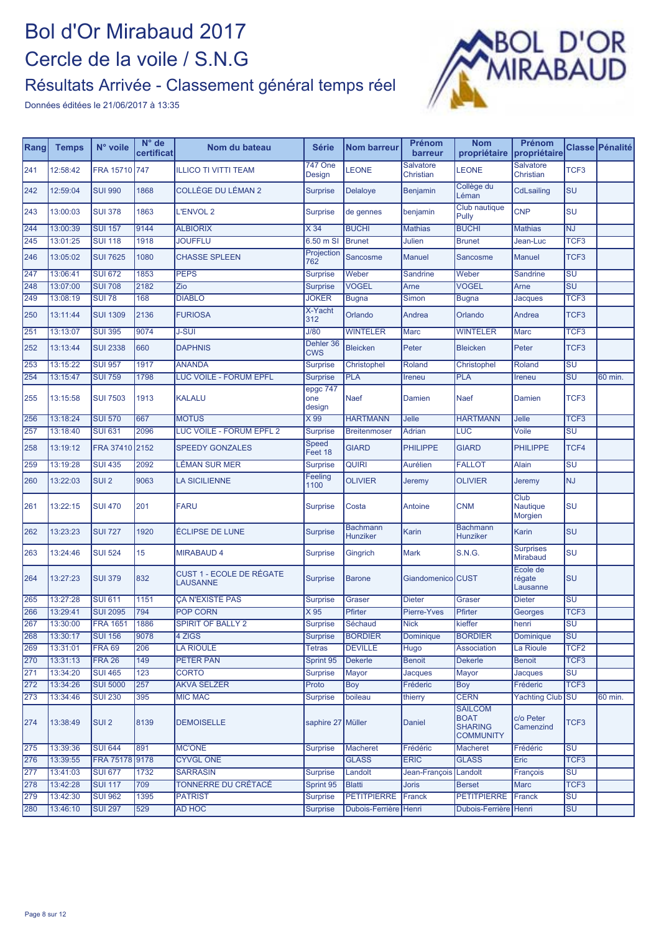

| Rang             | <b>Temps</b> | N° voile         | $N^{\circ}$ de<br>certificat | Nom du bateau                                      | <b>Série</b>              | <b>Nom barreur</b>                 | <b>Prénom</b><br>barreur      | <b>Nom</b><br>propriétaire                                          | <b>Prénom</b><br>propriétaire      |                                   | Classe Pénalité |
|------------------|--------------|------------------|------------------------------|----------------------------------------------------|---------------------------|------------------------------------|-------------------------------|---------------------------------------------------------------------|------------------------------------|-----------------------------------|-----------------|
| 241              | 12:58:42     | FRA 15710        | 747                          | <b>ILLICO TI VITTI TEAM</b>                        | <b>747 One</b><br>Design  | <b>LEONE</b>                       | <b>Salvatore</b><br>Christian | <b>LEONE</b>                                                        | <b>Salvatore</b><br>Christian      | TCF3                              |                 |
| 242              | 12:59:04     | <b>SUI 990</b>   | 1868                         | COLLÈGE DU LÉMAN 2                                 | <b>Surprise</b>           | <b>Delaloye</b>                    | Benjamin                      | Collège du<br>Léman                                                 | CdLsailing                         | <b>SU</b>                         |                 |
| 243              | 13:00:03     | <b>SUI 378</b>   | 1863                         | <b>L'ENVOL 2</b>                                   | <b>Surprise</b>           | de gennes                          | benjamin                      | Club nautique<br>Pully                                              | <b>CNP</b>                         | SU                                |                 |
| 244              | 13:00:39     | <b>SUI 157</b>   | 9144                         | <b>ALBIORIX</b>                                    | X 34                      | <b>BUCHI</b>                       | <b>Mathias</b>                | <b>BUCHI</b>                                                        | <b>Mathias</b>                     | <b>NJ</b>                         |                 |
| $\overline{245}$ | 13:01:25     | <b>SUI 118</b>   | 1918                         | <b>JOUFFLU</b>                                     | 6.50 m SI                 | <b>Brunet</b>                      | Julien                        | <b>Brunet</b>                                                       | Jean-Luc                           | TCF <sub>3</sub>                  |                 |
| 246              | 13:05:02     | <b>SUI 7625</b>  | 1080                         | <b>CHASSE SPLEEN</b>                               | Projection<br>762         | Sancosme                           | <b>Manuel</b>                 | Sancosme                                                            | Manuel                             | TCF3                              |                 |
| 247              | 13:06:41     | <b>SUI 672</b>   | 1853                         | <b>PEPS</b>                                        | <b>Surprise</b>           | Weber                              | <b>Sandrine</b>               | Weber                                                               | <b>Sandrine</b>                    | $\overline{\mathsf{S}\mathsf{U}}$ |                 |
| 248              | 13:07:00     | <b>SUI 708</b>   | 2182                         | Zio                                                | <b>Surprise</b>           | <b>VOGEL</b>                       | Arne                          | <b>VOGEL</b>                                                        | Arne                               | $\overline{\text{SU}}$            |                 |
| 249              | 13:08:19     | <b>SUI 78</b>    | 168                          | <b>DIABLO</b>                                      | <b>JOKER</b>              | <b>Bugna</b>                       | <b>Simon</b>                  | <b>Bugna</b>                                                        | Jacques                            | TCF3                              |                 |
| 250              | 13:11:44     | <b>SUI 1309</b>  | 2136                         | <b>FURIOSA</b>                                     | X-Yacht<br>312            | Orlando                            | Andrea                        | Orlando                                                             | Andrea                             | TCF3                              |                 |
| 251              | 13:13:07     | <b>SUI 395</b>   | 9074                         | <b>J-SUI</b>                                       | J/80                      | <b>WINTELER</b>                    | <b>Marc</b>                   | <b>WINTELER</b>                                                     | <b>Marc</b>                        | TCF <sub>3</sub>                  |                 |
| 252              | 13:13:44     | <b>SUI 2338</b>  | 660                          | <b>DAPHNIS</b>                                     | Dehler 36<br><b>CWS</b>   | <b>Bleicken</b>                    | Peter                         | <b>Bleicken</b>                                                     | Peter                              | TCF <sub>3</sub>                  |                 |
| 253              | 13:15:22     | <b>SUI 957</b>   | 1917                         | <b>ANANDA</b>                                      | <b>Surprise</b>           | Christophel                        | Roland                        | Christophel                                                         | Roland                             | SU                                |                 |
| 254              | 13:15:47     | <b>SUI 759</b>   | 1798                         | <b>LUC VOILE - FORUM EPFL</b>                      | Surprise                  | <b>PLA</b>                         | Ireneu                        | <b>PLA</b>                                                          | Ireneu                             | $\overline{\mathsf{S}\mathsf{U}}$ | 60 min.         |
| 255              | 13:15:58     | <b>SUI 7503</b>  | 1913                         | <b>KALALU</b>                                      | epgc 747<br>one<br>design | <b>Naef</b>                        | Damien                        | <b>Naef</b>                                                         | Damien                             | TCF <sub>3</sub>                  |                 |
| 256              | 13:18:24     | <b>SUI 570</b>   | 667                          | <b>MOTUS</b>                                       | $\times 99$               | <b>HARTMANN</b>                    | Jelle                         | <b>HARTMANN</b>                                                     | Jelle                              | TCF <sub>3</sub>                  |                 |
| 257              | 13:18:40     | <b>SUI 631</b>   | 2096                         | LUC VOILE - FORUM EPFL 2                           | <b>Surprise</b>           | <b>Breitenmoser</b>                | Adrian                        | LUC                                                                 | Voile                              | SU                                |                 |
| 258              | 13:19:12     | FRA 37410 2152   |                              | <b>SPEEDY GONZALES</b>                             | <b>Speed</b><br>Feet 18   | <b>GIARD</b>                       | <b>PHILIPPE</b>               | <b>GIARD</b>                                                        | <b>PHILIPPE</b>                    | TCF4                              |                 |
| 259              | 13:19:28     | <b>SUI 435</b>   | 2092                         | LÉMAN SUR MER                                      | <b>Surprise</b>           | <b>QUIRI</b>                       | Aurélien                      | <b>FALLOT</b>                                                       | <b>Alain</b>                       | <b>SU</b>                         |                 |
| 260              | 13:22:03     | SUI <sub>2</sub> | 9063                         | <b>LA SICILIENNE</b>                               | Feeling<br>1100           | <b>OLIVIER</b>                     | Jeremy                        | <b>OLIVIER</b>                                                      | Jeremy                             | NJ                                |                 |
| 261              | 13:22:15     | <b>SUI 470</b>   | 201                          | <b>FARU</b>                                        | <b>Surprise</b>           | Costa                              | <b>Antoine</b>                | <b>CNM</b>                                                          | <b>Club</b><br>Nautique<br>Morgien | <b>SU</b>                         |                 |
| 262              | 13:23:23     | <b>SUI 727</b>   | 1920                         | ÉCLIPSE DE LUNE                                    | <b>Surprise</b>           | <b>Bachmann</b><br><b>Hunziker</b> | Karin                         | <b>Bachmann</b><br>Hunziker                                         | Karin                              | <b>SU</b>                         |                 |
| 263              | 13:24:46     | <b>SUI 524</b>   | 15                           | <b>MIRABAUD 4</b>                                  | Surprise                  | Gingrich                           | Mark                          | <b>S.N.G.</b>                                                       | <b>Surprises</b><br>Mirabaud       | <b>SU</b>                         |                 |
| 264              | 13:27:23     | <b>SUI 379</b>   | 832                          | <b>CUST 1 - ECOLE DE RÉGATE</b><br><b>LAUSANNE</b> | <b>Surprise</b>           | <b>Barone</b>                      | Giandomenico CUST             |                                                                     | Ecole de<br>régate<br>Lausanne     | <b>SU</b>                         |                 |
| 265              | 13:27:28     | <b>SUI 611</b>   | 1151                         | <b>ÇA N'EXISTE PAS</b>                             | Surprise                  | Graser                             | <b>Dieter</b>                 | Graser                                                              | <b>Dieter</b>                      | SU                                |                 |
| 266              | 13:29:41     | <b>SUI 2095</b>  | 794                          | <b>POP CORN</b>                                    | $\times 95$               | Pfirter                            | <b>Pierre-Yves</b>            | Pfirter                                                             | Georges                            | TCF <sub>3</sub>                  |                 |
| 267              | 13:30:00     | <b>FRA 1651</b>  | 1886                         | <b>SPIRIT OF BALLY 2</b>                           | <b>Surprise</b>           | Séchaud                            | <b>Nick</b>                   | kieffer                                                             | henri                              | $\overline{\mathsf{S}}\mathsf{U}$ |                 |
| 268              | 13:30:17     | <b>SUI 156</b>   | 9078                         | 4 ZIGS                                             | Surprise                  | <b>BORDIER</b>                     | Dominique                     | <b>BORDIER</b>                                                      | Dominique                          | SU                                |                 |
| 269              | 13:31:01     | <b>FRA 69</b>    | 206                          | <b>LA RIOULE</b>                                   | <b>Tetras</b>             | <b>DEVILLE</b>                     | Hugo                          | Association                                                         | La Rioule                          | TCF <sub>2</sub>                  |                 |
| 270              | 13:31:13     | <b>FRA 26</b>    | 149                          | <b>PETER PAN</b>                                   | Sprint 95                 | <b>Dekerle</b>                     | <b>Benoit</b>                 | <b>Dekerle</b>                                                      | <b>Benoit</b>                      | TCF <sub>3</sub>                  |                 |
| 271              | 13:34:20     | <b>SUI 465</b>   | 123                          | <b>CORTO</b>                                       | <b>Surprise</b>           | Mayor                              | Jacques                       | Mayor                                                               | Jacques                            | SU                                |                 |
| 272              | 13:34:26     | <b>SUI 5000</b>  | 257                          | <b>AKVA SELZER</b>                                 | Proto                     | Boy                                | Fréderic                      | Boy                                                                 | Fréderic                           | TCF <sub>3</sub>                  |                 |
| 273              | 13:34:46     | <b>SUI 230</b>   | 395                          | <b>MIC MAC</b>                                     | Surprise                  | boileau                            | thierry                       | <b>CERN</b>                                                         | Yachting Club SU                   |                                   | 60 min.         |
| 274              | 13:38:49     | SUI <sub>2</sub> | 8139                         | <b>DEMOISELLE</b>                                  | saphire 27 Müller         |                                    | Daniel                        | <b>SAILCOM</b><br><b>BOAT</b><br><b>SHARING</b><br><b>COMMUNITY</b> | c/o Peter<br>Camenzind             | TCF3                              |                 |
| 275              | 13:39:36     | <b>SUI 644</b>   | 891                          | <b>MC'ONE</b>                                      | <b>Surprise</b>           | <b>Macheret</b>                    | Frédéric                      | <b>Macheret</b>                                                     | Frédéric                           | $\overline{\text{SU}}$            |                 |
| 276              | 13:39:55     | FRA 75178 9178   |                              | <b>CYVGL ONE</b>                                   |                           | <b>GLASS</b>                       | <b>ERIC</b>                   | <b>GLASS</b>                                                        | Eric                               | TCF <sub>3</sub>                  |                 |
| 277              | 13:41:03     | <b>SUI 677</b>   | 1732                         | <b>SARRASIN</b>                                    | Surprise                  | Landolt                            | Jean-François                 | Landolt                                                             | François                           | SU                                |                 |
| 278              | 13:42:28     | <b>SUI 117</b>   | 709                          | TONNERRE DU CRÉTACÉ                                | Sprint 95                 | <b>Blatti</b>                      | Joris                         | Berset                                                              | Marc                               | TCF <sub>3</sub>                  |                 |
| 279              | 13:42:30     | <b>SUI 962</b>   | 1395                         | <b>PATRIST</b>                                     | <b>Surprise</b>           | <b>PETITPIERRE</b>                 | Franck                        | <b>PETITPIERRE</b>                                                  | Franck                             | SU                                |                 |
| 280              | 13:46:10     | <b>SUI 297</b>   | 529                          | <b>AD HOC</b>                                      | <b>Surprise</b>           | Dubois-Ferrière                    | Henri                         | Dubois-Ferrière Henri                                               |                                    | $\overline{\text{SU}}$            |                 |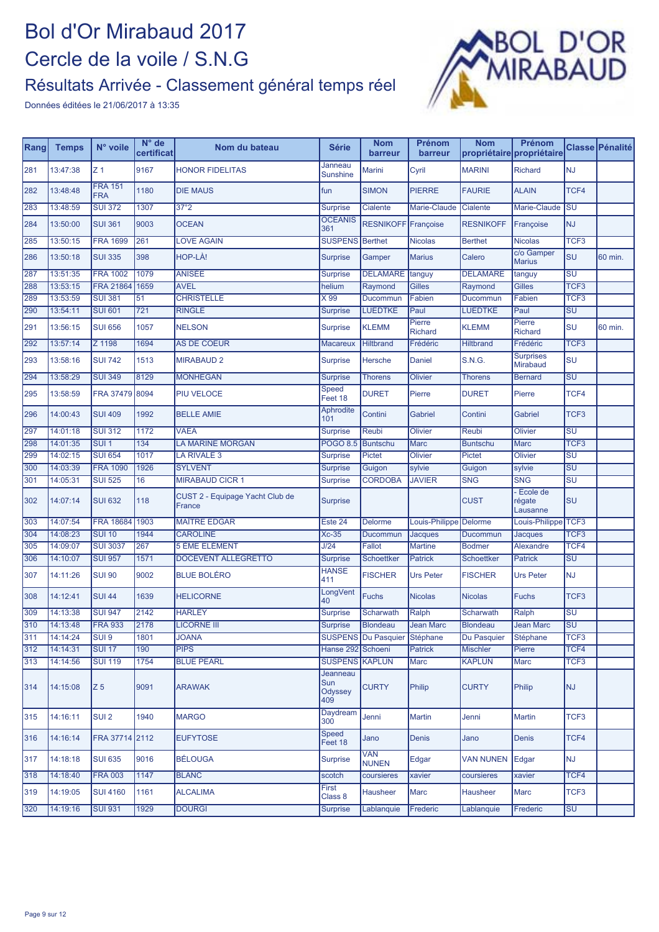

| Janneau<br><b>NJ</b><br>13:47:38<br>Z <sub>1</sub><br>9167<br>Cyril<br>281<br><b>HONOR FIDELITAS</b><br><b>Marini</b><br><b>MARINI</b><br><b>Richard</b><br><b>Sunshine</b><br><b>FRA 151</b><br><b>SIMON</b><br><b>ALAIN</b><br>TCF4<br>13:48:48<br>1180<br><b>DIE MAUS</b><br><b>PIERRE</b><br><b>FAURIE</b><br>282<br>fun<br><b>FRA</b><br><b>SUI 372</b><br>1307<br>37°2<br>283<br>13:48:59<br>Marie-Claude<br>Marie-Claude<br><b>SU</b><br><b>Surprise</b><br><b>Cialente</b><br>Cialente<br><b>OCEANIS</b><br>RESNIKOFF Françoise<br><b>NJ</b><br>13:50:00<br><b>SUI 361</b><br>9003<br><b>OCEAN</b><br><b>RESNIKOFF</b><br>284<br>Françoise<br>361<br><b>FRA 1699</b><br>261<br><b>SUSPENS</b><br>TCF <sub>3</sub><br>13:50:15<br><b>LOVE AGAIN</b><br><b>Nicolas</b><br>285<br><b>Berthet</b><br><b>Nicolas</b><br><b>Berthet</b><br>c/o Gamper<br>SU<br>HOP-LÀ!<br>13:50:18<br><b>SUI 335</b><br>398<br><b>Marius</b><br>60 min.<br>286<br><b>Surprise</b><br>Gamper<br>Calero<br><b>Marius</b><br><b>FRA 1002</b><br>1079<br><b>ANISÉE</b><br><b>DELAMARE</b><br>$\overline{\mathsf{S}\mathsf{U}}$<br>287<br>13:51:35<br><b>DELAMARE</b><br><b>Surprise</b><br>tanguy<br>tanguy<br>13:53:15<br><b>FRA 21864</b><br>1659<br><b>AVEL</b><br>TCF <sub>3</sub><br>288<br>helium<br>Raymond<br><b>Gilles</b><br>Raymond<br>Gilles<br>13:53:59<br><b>SUI 381</b><br><b>CHRISTELLE</b><br>X 99<br>TCF <sub>3</sub><br>51<br>Fabien<br>Fabien<br>289<br>Ducommun<br>Ducommun<br>13:54:11<br><b>SUI 601</b><br>721<br><b>RINGLE</b><br>Paul<br><b>LUEDTKE</b><br>Paul<br>$\overline{\mathsf{SU}}$<br>290<br><b>LUEDTKE</b><br><b>Surprise</b><br>Pierre<br>Pierre<br>SU<br>60 min.<br>291<br>13:56:15<br><b>SUI 656</b><br>1057<br><b>NELSON</b><br><b>Surprise</b><br><b>KLEMM</b><br><b>KLEMM</b><br>Richard<br><b>Richard</b><br>292<br>13:57:14<br>Z 1198<br>1694<br><b>AS DE COEUR</b><br>Frédéric<br>Frédéric<br>TCF <sub>3</sub><br><b>Hiltbrand</b><br><b>Hiltbrand</b><br><b>Macareux</b><br><b>Surprises</b><br>SU<br>293<br>13:58:16<br><b>SUI 742</b><br>1513<br><b>MIRABAUD 2</b><br><b>Surprise</b><br><b>Hersche</b><br><b>Daniel</b><br><b>S.N.G.</b><br>Mirabaud<br>$\overline{\mathsf{SU}}$<br>294<br>13:58:29<br><b>SUI 349</b><br>8129<br><b>MONHEGAN</b><br><b>Surprise</b><br><b>Thorens</b><br>Olivier<br><b>Thorens</b><br><b>Bernard</b><br>Speed<br>TCF4<br>13:58:59<br><b>FRA 37479</b><br>8094<br>PIU VELOCE<br><b>DURET</b><br>Pierre<br><b>DURET</b><br>Pierre<br>295<br>Feet 18<br>Aphrodite<br>1992<br>TCF <sub>3</sub><br>14:00:43<br><b>SUI 409</b><br><b>BELLE AMIE</b><br>Contini<br><b>Gabriel</b><br>Contini<br>Gabriel<br>296<br>101<br>14:01:18<br><b>SUI 312</b><br>1172<br><b>VAEA</b><br>SU<br>297<br>Reubi<br>Olivier<br>Reubi<br>Olivier<br><b>Surprise</b><br>134<br>14:01:35<br>$SUI$ 1<br>POGO 8.5 Buntschu<br>TCF <sub>3</sub><br>298<br><b>LA MARINE MORGAN</b><br><b>Marc</b><br><b>Marc</b><br><b>Buntschu</b><br>14:02:15<br><b>SUI 654</b><br>1017<br>$\overline{\mathsf{S}}\mathsf{U}$<br>299<br>LA RIVALE 3<br>Surprise<br><b>Pictet</b><br>Olivier<br><b>Pictet</b><br>Olivier<br>14:03:39<br><b>FRA 1090</b><br>1926<br><b>SYLVENT</b><br>SU<br>300<br><b>Surprise</b><br>Guigon<br>sylvie<br>Guigon<br>sylvie<br><b>SNG</b><br>$\overline{\text{SU}}$<br><b>SUI 525</b><br><b>MIRABAUD CICR 1</b><br><b>JAVIER</b><br>301<br>14:05:31<br>16<br><b>Surprise</b><br><b>CORDOBA</b><br><b>SNG</b><br>Ecole de<br>CUST 2 - Equipage Yacht Club de<br><b>SU</b><br><b>SUI 632</b><br>118<br><b>CUST</b><br>302<br>14:07:14<br><b>Surprise</b><br>régate<br>France<br>Lausanne<br>FRA 18684 1903<br>Louis-Philippe TCF3<br>303<br>14:07:54<br><b>MAÎTRE EDGAR</b><br>Este 24<br>Louis-Philippe<br>Delorme<br><b>Delorme</b><br>TCF <sub>3</sub><br>14:08:23<br><b>SUI 10</b><br>1944<br><b>CAROLINE</b><br>$Xc-35$<br>304<br>Ducommun<br><b>Jacques</b><br>Ducommun<br><b>Jacques</b><br>TCF4<br>14:09:07<br><b>SUI 3037</b><br>267<br><b>5 ÈME ELÉMENT</b><br>J/24<br>305<br>Fallot<br><b>Martine</b><br><b>Bodmer</b><br>Alexandre<br><b>SUI 957</b><br>1571<br>$\overline{\text{SU}}$<br>306<br>14:10:07<br>DOCEVENT ALLEGRETTO<br><b>Surprise</b><br><b>Schoettker</b><br><b>Patrick</b><br><b>Patrick</b><br><b>Schoettker</b><br><b>HANSE</b><br><b>NJ</b><br>9002<br><b>BLUE BOLÉRO</b><br>307<br>14:11:26<br><b>SUI 90</b><br><b>FISCHER</b><br><b>Urs Peter</b><br><b>FISCHER</b><br>Urs Peter<br>411<br>LongVent<br>14:12:41<br><b>SUI 44</b><br>1639<br><b>HELICORNE</b><br><b>Fuchs</b><br><b>Nicolas</b><br><b>Fuchs</b><br>TCF <sub>3</sub><br>308<br><b>Nicolas</b><br>40<br><b>HARLEY</b><br>$\overline{\mathsf{SU}}$<br>14:13:38<br><b>SUI 947</b><br>2142<br>Ralph<br>309<br><b>Surprise</b><br>Scharwath<br>Scharwath<br>Ralph<br>14:13:48<br><b>FRA 933</b><br>2178<br><b>LICORNE III</b><br><b>Jean Marc</b><br>$\overline{\text{SU}}$<br>310<br><b>Jean Marc</b><br><b>Surprise</b><br><b>Blondeau</b><br><b>Blondeau</b><br>311<br>14:14:24<br>SUI 9<br>1801<br><b>JOANA</b><br>SUSPENS   Du Pasquier   Stéphane<br>Du Pasquier<br>Stéphane<br>TCF <sub>3</sub><br><b>SUI 17</b><br>190<br><b>PIPS</b><br>Hanse 292 Schoeni<br>TCF4<br>312<br>14:14:31<br><b>Patrick</b><br>Pierre<br><b>Mischler</b><br>SUSPENS KAPLUN<br>TCF <sub>3</sub><br>14:14:56<br><b>SUI 119</b><br>1754<br><b>KAPLUN</b><br>313<br><b>BLUE PEARL</b><br>Marc<br>Marc<br>Jeanneau<br>Sun<br>Z <sub>5</sub><br>9091<br><b>ARAWAK</b><br><b>CURTY</b><br><b>CURTY</b><br><b>NJ</b><br>314<br>14:15:08<br>Philip<br>Philip<br><b>Odyssey</b><br>409<br>Daydream<br>Jenni<br>SUI <sub>2</sub><br>1940<br><b>MARGO</b><br>Martin<br><b>Martin</b><br>TCF <sub>3</sub><br>315<br>14:16:11<br>Jenni<br>300<br><b>Speed</b><br>FRA 37714 2112<br>TCF4<br>14:16:14<br><b>EUFYTOSE</b><br>Jano<br><b>Denis</b><br>Jano<br><b>Denis</b><br>316<br>Feet 18<br>VAN<br><b>NJ</b><br>9016<br>14:18:18<br><b>SUI 635</b><br><b>BÉLOUGA</b><br><b>Surprise</b><br>Edgar<br><b>VAN NUNEN</b><br>Edgar<br>317<br><b>NUNEN</b><br>1147<br><b>BLANC</b><br>TCF4<br>14:18:40<br><b>FRA 003</b><br>318<br>scotch<br>coursieres<br>coursieres<br>xavier<br>xavier<br>First<br>TCF <sub>3</sub><br>319<br>14:19:05<br><b>SUI 4160</b><br>1161<br><b>ALCALIMA</b><br>Marc<br><b>Hausheer</b><br>Hausheer<br>Marc<br>Class 8<br><b>DOURGI</b><br>SU<br>14:19:16<br><b>SUI 931</b><br>1929<br>320<br><b>Surprise</b><br>Lablanquie<br>Frederic<br>Lablanquie<br>Frederic | Rang | <b>Temps</b> | N° voile | $N^{\circ}$ de<br>certificat | Nom du bateau | <b>Série</b> | <b>Nom</b><br>barreur | <b>Prénom</b><br>barreur | <b>Nom</b> | Prénom<br>propriétaire propriétaire | <b>Classe Pénalité</b> |
|----------------------------------------------------------------------------------------------------------------------------------------------------------------------------------------------------------------------------------------------------------------------------------------------------------------------------------------------------------------------------------------------------------------------------------------------------------------------------------------------------------------------------------------------------------------------------------------------------------------------------------------------------------------------------------------------------------------------------------------------------------------------------------------------------------------------------------------------------------------------------------------------------------------------------------------------------------------------------------------------------------------------------------------------------------------------------------------------------------------------------------------------------------------------------------------------------------------------------------------------------------------------------------------------------------------------------------------------------------------------------------------------------------------------------------------------------------------------------------------------------------------------------------------------------------------------------------------------------------------------------------------------------------------------------------------------------------------------------------------------------------------------------------------------------------------------------------------------------------------------------------------------------------------------------------------------------------------------------------------------------------------------------------------------------------------------------------------------------------------------------------------------------------------------------------------------------------------------------------------------------------------------------------------------------------------------------------------------------------------------------------------------------------------------------------------------------------------------------------------------------------------------------------------------------------------------------------------------------------------------------------------------------------------------------------------------------------------------------------------------------------------------------------------------------------------------------------------------------------------------------------------------------------------------------------------------------------------------------------------------------------------------------------------------------------------------------------------------------------------------------------------------------------------------------------------------------------------------------------------------------------------------------------------------------------------------------------------------------------------------------------------------------------------------------------------------------------------------------------------------------------------------------------------------------------------------------------------------------------------------------------------------------------------------------------------------------------------------------------------------------------------------------------------------------------------------------------------------------------------------------------------------------------------------------------------------------------------------------------------------------------------------------------------------------------------------------------------------------------------------------------------------------------------------------------------------------------------------------------------------------------------------------------------------------------------------------------------------------------------------------------------------------------------------------------------------------------------------------------------------------------------------------------------------------------------------------------------------------------------------------------------------------------------------------------------------------------------------------------------------------------------------------------------------------------------------------------------------------------------------------------------------------------------------------------------------------------------------------------------------------------------------------------------------------------------------------------------------------------------------------------------------------------------------------------------------------------------------------------------------------------------------------------------------------------------------------------------------------------------------------------------------------------------------------------------------------------------------------------------------------------------------------------------------------------------------------------------------------------------------------------------------------------------------------------------------------------------------------------------------------------------------------------------------------------------------------------------------------------------------------------------------------------------------------------------------------------------------------------------------------------------------------------------------------------------------------------------------------------------------------------------------------------------------------------------------------------------------------------------------------------------------------------------------------------------------------------------------------------------------------------------------------------------------------------------------------------------------------------------------------|------|--------------|----------|------------------------------|---------------|--------------|-----------------------|--------------------------|------------|-------------------------------------|------------------------|
|                                                                                                                                                                                                                                                                                                                                                                                                                                                                                                                                                                                                                                                                                                                                                                                                                                                                                                                                                                                                                                                                                                                                                                                                                                                                                                                                                                                                                                                                                                                                                                                                                                                                                                                                                                                                                                                                                                                                                                                                                                                                                                                                                                                                                                                                                                                                                                                                                                                                                                                                                                                                                                                                                                                                                                                                                                                                                                                                                                                                                                                                                                                                                                                                                                                                                                                                                                                                                                                                                                                                                                                                                                                                                                                                                                                                                                                                                                                                                                                                                                                                                                                                                                                                                                                                                                                                                                                                                                                                                                                                                                                                                                                                                                                                                                                                                                                                                                                                                                                                                                                                                                                                                                                                                                                                                                                                                                                                                                                                                                                                                                                                                                                                                                                                                                                                                                                                                                                                                                                                                                                                                                                                                                                                                                                                                                                                                                                                                                                                                                    |      |              |          |                              |               |              |                       |                          |            |                                     |                        |
|                                                                                                                                                                                                                                                                                                                                                                                                                                                                                                                                                                                                                                                                                                                                                                                                                                                                                                                                                                                                                                                                                                                                                                                                                                                                                                                                                                                                                                                                                                                                                                                                                                                                                                                                                                                                                                                                                                                                                                                                                                                                                                                                                                                                                                                                                                                                                                                                                                                                                                                                                                                                                                                                                                                                                                                                                                                                                                                                                                                                                                                                                                                                                                                                                                                                                                                                                                                                                                                                                                                                                                                                                                                                                                                                                                                                                                                                                                                                                                                                                                                                                                                                                                                                                                                                                                                                                                                                                                                                                                                                                                                                                                                                                                                                                                                                                                                                                                                                                                                                                                                                                                                                                                                                                                                                                                                                                                                                                                                                                                                                                                                                                                                                                                                                                                                                                                                                                                                                                                                                                                                                                                                                                                                                                                                                                                                                                                                                                                                                                                    |      |              |          |                              |               |              |                       |                          |            |                                     |                        |
|                                                                                                                                                                                                                                                                                                                                                                                                                                                                                                                                                                                                                                                                                                                                                                                                                                                                                                                                                                                                                                                                                                                                                                                                                                                                                                                                                                                                                                                                                                                                                                                                                                                                                                                                                                                                                                                                                                                                                                                                                                                                                                                                                                                                                                                                                                                                                                                                                                                                                                                                                                                                                                                                                                                                                                                                                                                                                                                                                                                                                                                                                                                                                                                                                                                                                                                                                                                                                                                                                                                                                                                                                                                                                                                                                                                                                                                                                                                                                                                                                                                                                                                                                                                                                                                                                                                                                                                                                                                                                                                                                                                                                                                                                                                                                                                                                                                                                                                                                                                                                                                                                                                                                                                                                                                                                                                                                                                                                                                                                                                                                                                                                                                                                                                                                                                                                                                                                                                                                                                                                                                                                                                                                                                                                                                                                                                                                                                                                                                                                                    |      |              |          |                              |               |              |                       |                          |            |                                     |                        |
|                                                                                                                                                                                                                                                                                                                                                                                                                                                                                                                                                                                                                                                                                                                                                                                                                                                                                                                                                                                                                                                                                                                                                                                                                                                                                                                                                                                                                                                                                                                                                                                                                                                                                                                                                                                                                                                                                                                                                                                                                                                                                                                                                                                                                                                                                                                                                                                                                                                                                                                                                                                                                                                                                                                                                                                                                                                                                                                                                                                                                                                                                                                                                                                                                                                                                                                                                                                                                                                                                                                                                                                                                                                                                                                                                                                                                                                                                                                                                                                                                                                                                                                                                                                                                                                                                                                                                                                                                                                                                                                                                                                                                                                                                                                                                                                                                                                                                                                                                                                                                                                                                                                                                                                                                                                                                                                                                                                                                                                                                                                                                                                                                                                                                                                                                                                                                                                                                                                                                                                                                                                                                                                                                                                                                                                                                                                                                                                                                                                                                                    |      |              |          |                              |               |              |                       |                          |            |                                     |                        |
|                                                                                                                                                                                                                                                                                                                                                                                                                                                                                                                                                                                                                                                                                                                                                                                                                                                                                                                                                                                                                                                                                                                                                                                                                                                                                                                                                                                                                                                                                                                                                                                                                                                                                                                                                                                                                                                                                                                                                                                                                                                                                                                                                                                                                                                                                                                                                                                                                                                                                                                                                                                                                                                                                                                                                                                                                                                                                                                                                                                                                                                                                                                                                                                                                                                                                                                                                                                                                                                                                                                                                                                                                                                                                                                                                                                                                                                                                                                                                                                                                                                                                                                                                                                                                                                                                                                                                                                                                                                                                                                                                                                                                                                                                                                                                                                                                                                                                                                                                                                                                                                                                                                                                                                                                                                                                                                                                                                                                                                                                                                                                                                                                                                                                                                                                                                                                                                                                                                                                                                                                                                                                                                                                                                                                                                                                                                                                                                                                                                                                                    |      |              |          |                              |               |              |                       |                          |            |                                     |                        |
|                                                                                                                                                                                                                                                                                                                                                                                                                                                                                                                                                                                                                                                                                                                                                                                                                                                                                                                                                                                                                                                                                                                                                                                                                                                                                                                                                                                                                                                                                                                                                                                                                                                                                                                                                                                                                                                                                                                                                                                                                                                                                                                                                                                                                                                                                                                                                                                                                                                                                                                                                                                                                                                                                                                                                                                                                                                                                                                                                                                                                                                                                                                                                                                                                                                                                                                                                                                                                                                                                                                                                                                                                                                                                                                                                                                                                                                                                                                                                                                                                                                                                                                                                                                                                                                                                                                                                                                                                                                                                                                                                                                                                                                                                                                                                                                                                                                                                                                                                                                                                                                                                                                                                                                                                                                                                                                                                                                                                                                                                                                                                                                                                                                                                                                                                                                                                                                                                                                                                                                                                                                                                                                                                                                                                                                                                                                                                                                                                                                                                                    |      |              |          |                              |               |              |                       |                          |            |                                     |                        |
|                                                                                                                                                                                                                                                                                                                                                                                                                                                                                                                                                                                                                                                                                                                                                                                                                                                                                                                                                                                                                                                                                                                                                                                                                                                                                                                                                                                                                                                                                                                                                                                                                                                                                                                                                                                                                                                                                                                                                                                                                                                                                                                                                                                                                                                                                                                                                                                                                                                                                                                                                                                                                                                                                                                                                                                                                                                                                                                                                                                                                                                                                                                                                                                                                                                                                                                                                                                                                                                                                                                                                                                                                                                                                                                                                                                                                                                                                                                                                                                                                                                                                                                                                                                                                                                                                                                                                                                                                                                                                                                                                                                                                                                                                                                                                                                                                                                                                                                                                                                                                                                                                                                                                                                                                                                                                                                                                                                                                                                                                                                                                                                                                                                                                                                                                                                                                                                                                                                                                                                                                                                                                                                                                                                                                                                                                                                                                                                                                                                                                                    |      |              |          |                              |               |              |                       |                          |            |                                     |                        |
|                                                                                                                                                                                                                                                                                                                                                                                                                                                                                                                                                                                                                                                                                                                                                                                                                                                                                                                                                                                                                                                                                                                                                                                                                                                                                                                                                                                                                                                                                                                                                                                                                                                                                                                                                                                                                                                                                                                                                                                                                                                                                                                                                                                                                                                                                                                                                                                                                                                                                                                                                                                                                                                                                                                                                                                                                                                                                                                                                                                                                                                                                                                                                                                                                                                                                                                                                                                                                                                                                                                                                                                                                                                                                                                                                                                                                                                                                                                                                                                                                                                                                                                                                                                                                                                                                                                                                                                                                                                                                                                                                                                                                                                                                                                                                                                                                                                                                                                                                                                                                                                                                                                                                                                                                                                                                                                                                                                                                                                                                                                                                                                                                                                                                                                                                                                                                                                                                                                                                                                                                                                                                                                                                                                                                                                                                                                                                                                                                                                                                                    |      |              |          |                              |               |              |                       |                          |            |                                     |                        |
|                                                                                                                                                                                                                                                                                                                                                                                                                                                                                                                                                                                                                                                                                                                                                                                                                                                                                                                                                                                                                                                                                                                                                                                                                                                                                                                                                                                                                                                                                                                                                                                                                                                                                                                                                                                                                                                                                                                                                                                                                                                                                                                                                                                                                                                                                                                                                                                                                                                                                                                                                                                                                                                                                                                                                                                                                                                                                                                                                                                                                                                                                                                                                                                                                                                                                                                                                                                                                                                                                                                                                                                                                                                                                                                                                                                                                                                                                                                                                                                                                                                                                                                                                                                                                                                                                                                                                                                                                                                                                                                                                                                                                                                                                                                                                                                                                                                                                                                                                                                                                                                                                                                                                                                                                                                                                                                                                                                                                                                                                                                                                                                                                                                                                                                                                                                                                                                                                                                                                                                                                                                                                                                                                                                                                                                                                                                                                                                                                                                                                                    |      |              |          |                              |               |              |                       |                          |            |                                     |                        |
|                                                                                                                                                                                                                                                                                                                                                                                                                                                                                                                                                                                                                                                                                                                                                                                                                                                                                                                                                                                                                                                                                                                                                                                                                                                                                                                                                                                                                                                                                                                                                                                                                                                                                                                                                                                                                                                                                                                                                                                                                                                                                                                                                                                                                                                                                                                                                                                                                                                                                                                                                                                                                                                                                                                                                                                                                                                                                                                                                                                                                                                                                                                                                                                                                                                                                                                                                                                                                                                                                                                                                                                                                                                                                                                                                                                                                                                                                                                                                                                                                                                                                                                                                                                                                                                                                                                                                                                                                                                                                                                                                                                                                                                                                                                                                                                                                                                                                                                                                                                                                                                                                                                                                                                                                                                                                                                                                                                                                                                                                                                                                                                                                                                                                                                                                                                                                                                                                                                                                                                                                                                                                                                                                                                                                                                                                                                                                                                                                                                                                                    |      |              |          |                              |               |              |                       |                          |            |                                     |                        |
|                                                                                                                                                                                                                                                                                                                                                                                                                                                                                                                                                                                                                                                                                                                                                                                                                                                                                                                                                                                                                                                                                                                                                                                                                                                                                                                                                                                                                                                                                                                                                                                                                                                                                                                                                                                                                                                                                                                                                                                                                                                                                                                                                                                                                                                                                                                                                                                                                                                                                                                                                                                                                                                                                                                                                                                                                                                                                                                                                                                                                                                                                                                                                                                                                                                                                                                                                                                                                                                                                                                                                                                                                                                                                                                                                                                                                                                                                                                                                                                                                                                                                                                                                                                                                                                                                                                                                                                                                                                                                                                                                                                                                                                                                                                                                                                                                                                                                                                                                                                                                                                                                                                                                                                                                                                                                                                                                                                                                                                                                                                                                                                                                                                                                                                                                                                                                                                                                                                                                                                                                                                                                                                                                                                                                                                                                                                                                                                                                                                                                                    |      |              |          |                              |               |              |                       |                          |            |                                     |                        |
|                                                                                                                                                                                                                                                                                                                                                                                                                                                                                                                                                                                                                                                                                                                                                                                                                                                                                                                                                                                                                                                                                                                                                                                                                                                                                                                                                                                                                                                                                                                                                                                                                                                                                                                                                                                                                                                                                                                                                                                                                                                                                                                                                                                                                                                                                                                                                                                                                                                                                                                                                                                                                                                                                                                                                                                                                                                                                                                                                                                                                                                                                                                                                                                                                                                                                                                                                                                                                                                                                                                                                                                                                                                                                                                                                                                                                                                                                                                                                                                                                                                                                                                                                                                                                                                                                                                                                                                                                                                                                                                                                                                                                                                                                                                                                                                                                                                                                                                                                                                                                                                                                                                                                                                                                                                                                                                                                                                                                                                                                                                                                                                                                                                                                                                                                                                                                                                                                                                                                                                                                                                                                                                                                                                                                                                                                                                                                                                                                                                                                                    |      |              |          |                              |               |              |                       |                          |            |                                     |                        |
|                                                                                                                                                                                                                                                                                                                                                                                                                                                                                                                                                                                                                                                                                                                                                                                                                                                                                                                                                                                                                                                                                                                                                                                                                                                                                                                                                                                                                                                                                                                                                                                                                                                                                                                                                                                                                                                                                                                                                                                                                                                                                                                                                                                                                                                                                                                                                                                                                                                                                                                                                                                                                                                                                                                                                                                                                                                                                                                                                                                                                                                                                                                                                                                                                                                                                                                                                                                                                                                                                                                                                                                                                                                                                                                                                                                                                                                                                                                                                                                                                                                                                                                                                                                                                                                                                                                                                                                                                                                                                                                                                                                                                                                                                                                                                                                                                                                                                                                                                                                                                                                                                                                                                                                                                                                                                                                                                                                                                                                                                                                                                                                                                                                                                                                                                                                                                                                                                                                                                                                                                                                                                                                                                                                                                                                                                                                                                                                                                                                                                                    |      |              |          |                              |               |              |                       |                          |            |                                     |                        |
|                                                                                                                                                                                                                                                                                                                                                                                                                                                                                                                                                                                                                                                                                                                                                                                                                                                                                                                                                                                                                                                                                                                                                                                                                                                                                                                                                                                                                                                                                                                                                                                                                                                                                                                                                                                                                                                                                                                                                                                                                                                                                                                                                                                                                                                                                                                                                                                                                                                                                                                                                                                                                                                                                                                                                                                                                                                                                                                                                                                                                                                                                                                                                                                                                                                                                                                                                                                                                                                                                                                                                                                                                                                                                                                                                                                                                                                                                                                                                                                                                                                                                                                                                                                                                                                                                                                                                                                                                                                                                                                                                                                                                                                                                                                                                                                                                                                                                                                                                                                                                                                                                                                                                                                                                                                                                                                                                                                                                                                                                                                                                                                                                                                                                                                                                                                                                                                                                                                                                                                                                                                                                                                                                                                                                                                                                                                                                                                                                                                                                                    |      |              |          |                              |               |              |                       |                          |            |                                     |                        |
|                                                                                                                                                                                                                                                                                                                                                                                                                                                                                                                                                                                                                                                                                                                                                                                                                                                                                                                                                                                                                                                                                                                                                                                                                                                                                                                                                                                                                                                                                                                                                                                                                                                                                                                                                                                                                                                                                                                                                                                                                                                                                                                                                                                                                                                                                                                                                                                                                                                                                                                                                                                                                                                                                                                                                                                                                                                                                                                                                                                                                                                                                                                                                                                                                                                                                                                                                                                                                                                                                                                                                                                                                                                                                                                                                                                                                                                                                                                                                                                                                                                                                                                                                                                                                                                                                                                                                                                                                                                                                                                                                                                                                                                                                                                                                                                                                                                                                                                                                                                                                                                                                                                                                                                                                                                                                                                                                                                                                                                                                                                                                                                                                                                                                                                                                                                                                                                                                                                                                                                                                                                                                                                                                                                                                                                                                                                                                                                                                                                                                                    |      |              |          |                              |               |              |                       |                          |            |                                     |                        |
|                                                                                                                                                                                                                                                                                                                                                                                                                                                                                                                                                                                                                                                                                                                                                                                                                                                                                                                                                                                                                                                                                                                                                                                                                                                                                                                                                                                                                                                                                                                                                                                                                                                                                                                                                                                                                                                                                                                                                                                                                                                                                                                                                                                                                                                                                                                                                                                                                                                                                                                                                                                                                                                                                                                                                                                                                                                                                                                                                                                                                                                                                                                                                                                                                                                                                                                                                                                                                                                                                                                                                                                                                                                                                                                                                                                                                                                                                                                                                                                                                                                                                                                                                                                                                                                                                                                                                                                                                                                                                                                                                                                                                                                                                                                                                                                                                                                                                                                                                                                                                                                                                                                                                                                                                                                                                                                                                                                                                                                                                                                                                                                                                                                                                                                                                                                                                                                                                                                                                                                                                                                                                                                                                                                                                                                                                                                                                                                                                                                                                                    |      |              |          |                              |               |              |                       |                          |            |                                     |                        |
|                                                                                                                                                                                                                                                                                                                                                                                                                                                                                                                                                                                                                                                                                                                                                                                                                                                                                                                                                                                                                                                                                                                                                                                                                                                                                                                                                                                                                                                                                                                                                                                                                                                                                                                                                                                                                                                                                                                                                                                                                                                                                                                                                                                                                                                                                                                                                                                                                                                                                                                                                                                                                                                                                                                                                                                                                                                                                                                                                                                                                                                                                                                                                                                                                                                                                                                                                                                                                                                                                                                                                                                                                                                                                                                                                                                                                                                                                                                                                                                                                                                                                                                                                                                                                                                                                                                                                                                                                                                                                                                                                                                                                                                                                                                                                                                                                                                                                                                                                                                                                                                                                                                                                                                                                                                                                                                                                                                                                                                                                                                                                                                                                                                                                                                                                                                                                                                                                                                                                                                                                                                                                                                                                                                                                                                                                                                                                                                                                                                                                                    |      |              |          |                              |               |              |                       |                          |            |                                     |                        |
|                                                                                                                                                                                                                                                                                                                                                                                                                                                                                                                                                                                                                                                                                                                                                                                                                                                                                                                                                                                                                                                                                                                                                                                                                                                                                                                                                                                                                                                                                                                                                                                                                                                                                                                                                                                                                                                                                                                                                                                                                                                                                                                                                                                                                                                                                                                                                                                                                                                                                                                                                                                                                                                                                                                                                                                                                                                                                                                                                                                                                                                                                                                                                                                                                                                                                                                                                                                                                                                                                                                                                                                                                                                                                                                                                                                                                                                                                                                                                                                                                                                                                                                                                                                                                                                                                                                                                                                                                                                                                                                                                                                                                                                                                                                                                                                                                                                                                                                                                                                                                                                                                                                                                                                                                                                                                                                                                                                                                                                                                                                                                                                                                                                                                                                                                                                                                                                                                                                                                                                                                                                                                                                                                                                                                                                                                                                                                                                                                                                                                                    |      |              |          |                              |               |              |                       |                          |            |                                     |                        |
|                                                                                                                                                                                                                                                                                                                                                                                                                                                                                                                                                                                                                                                                                                                                                                                                                                                                                                                                                                                                                                                                                                                                                                                                                                                                                                                                                                                                                                                                                                                                                                                                                                                                                                                                                                                                                                                                                                                                                                                                                                                                                                                                                                                                                                                                                                                                                                                                                                                                                                                                                                                                                                                                                                                                                                                                                                                                                                                                                                                                                                                                                                                                                                                                                                                                                                                                                                                                                                                                                                                                                                                                                                                                                                                                                                                                                                                                                                                                                                                                                                                                                                                                                                                                                                                                                                                                                                                                                                                                                                                                                                                                                                                                                                                                                                                                                                                                                                                                                                                                                                                                                                                                                                                                                                                                                                                                                                                                                                                                                                                                                                                                                                                                                                                                                                                                                                                                                                                                                                                                                                                                                                                                                                                                                                                                                                                                                                                                                                                                                                    |      |              |          |                              |               |              |                       |                          |            |                                     |                        |
|                                                                                                                                                                                                                                                                                                                                                                                                                                                                                                                                                                                                                                                                                                                                                                                                                                                                                                                                                                                                                                                                                                                                                                                                                                                                                                                                                                                                                                                                                                                                                                                                                                                                                                                                                                                                                                                                                                                                                                                                                                                                                                                                                                                                                                                                                                                                                                                                                                                                                                                                                                                                                                                                                                                                                                                                                                                                                                                                                                                                                                                                                                                                                                                                                                                                                                                                                                                                                                                                                                                                                                                                                                                                                                                                                                                                                                                                                                                                                                                                                                                                                                                                                                                                                                                                                                                                                                                                                                                                                                                                                                                                                                                                                                                                                                                                                                                                                                                                                                                                                                                                                                                                                                                                                                                                                                                                                                                                                                                                                                                                                                                                                                                                                                                                                                                                                                                                                                                                                                                                                                                                                                                                                                                                                                                                                                                                                                                                                                                                                                    |      |              |          |                              |               |              |                       |                          |            |                                     |                        |
|                                                                                                                                                                                                                                                                                                                                                                                                                                                                                                                                                                                                                                                                                                                                                                                                                                                                                                                                                                                                                                                                                                                                                                                                                                                                                                                                                                                                                                                                                                                                                                                                                                                                                                                                                                                                                                                                                                                                                                                                                                                                                                                                                                                                                                                                                                                                                                                                                                                                                                                                                                                                                                                                                                                                                                                                                                                                                                                                                                                                                                                                                                                                                                                                                                                                                                                                                                                                                                                                                                                                                                                                                                                                                                                                                                                                                                                                                                                                                                                                                                                                                                                                                                                                                                                                                                                                                                                                                                                                                                                                                                                                                                                                                                                                                                                                                                                                                                                                                                                                                                                                                                                                                                                                                                                                                                                                                                                                                                                                                                                                                                                                                                                                                                                                                                                                                                                                                                                                                                                                                                                                                                                                                                                                                                                                                                                                                                                                                                                                                                    |      |              |          |                              |               |              |                       |                          |            |                                     |                        |
|                                                                                                                                                                                                                                                                                                                                                                                                                                                                                                                                                                                                                                                                                                                                                                                                                                                                                                                                                                                                                                                                                                                                                                                                                                                                                                                                                                                                                                                                                                                                                                                                                                                                                                                                                                                                                                                                                                                                                                                                                                                                                                                                                                                                                                                                                                                                                                                                                                                                                                                                                                                                                                                                                                                                                                                                                                                                                                                                                                                                                                                                                                                                                                                                                                                                                                                                                                                                                                                                                                                                                                                                                                                                                                                                                                                                                                                                                                                                                                                                                                                                                                                                                                                                                                                                                                                                                                                                                                                                                                                                                                                                                                                                                                                                                                                                                                                                                                                                                                                                                                                                                                                                                                                                                                                                                                                                                                                                                                                                                                                                                                                                                                                                                                                                                                                                                                                                                                                                                                                                                                                                                                                                                                                                                                                                                                                                                                                                                                                                                                    |      |              |          |                              |               |              |                       |                          |            |                                     |                        |
|                                                                                                                                                                                                                                                                                                                                                                                                                                                                                                                                                                                                                                                                                                                                                                                                                                                                                                                                                                                                                                                                                                                                                                                                                                                                                                                                                                                                                                                                                                                                                                                                                                                                                                                                                                                                                                                                                                                                                                                                                                                                                                                                                                                                                                                                                                                                                                                                                                                                                                                                                                                                                                                                                                                                                                                                                                                                                                                                                                                                                                                                                                                                                                                                                                                                                                                                                                                                                                                                                                                                                                                                                                                                                                                                                                                                                                                                                                                                                                                                                                                                                                                                                                                                                                                                                                                                                                                                                                                                                                                                                                                                                                                                                                                                                                                                                                                                                                                                                                                                                                                                                                                                                                                                                                                                                                                                                                                                                                                                                                                                                                                                                                                                                                                                                                                                                                                                                                                                                                                                                                                                                                                                                                                                                                                                                                                                                                                                                                                                                                    |      |              |          |                              |               |              |                       |                          |            |                                     |                        |
|                                                                                                                                                                                                                                                                                                                                                                                                                                                                                                                                                                                                                                                                                                                                                                                                                                                                                                                                                                                                                                                                                                                                                                                                                                                                                                                                                                                                                                                                                                                                                                                                                                                                                                                                                                                                                                                                                                                                                                                                                                                                                                                                                                                                                                                                                                                                                                                                                                                                                                                                                                                                                                                                                                                                                                                                                                                                                                                                                                                                                                                                                                                                                                                                                                                                                                                                                                                                                                                                                                                                                                                                                                                                                                                                                                                                                                                                                                                                                                                                                                                                                                                                                                                                                                                                                                                                                                                                                                                                                                                                                                                                                                                                                                                                                                                                                                                                                                                                                                                                                                                                                                                                                                                                                                                                                                                                                                                                                                                                                                                                                                                                                                                                                                                                                                                                                                                                                                                                                                                                                                                                                                                                                                                                                                                                                                                                                                                                                                                                                                    |      |              |          |                              |               |              |                       |                          |            |                                     |                        |
|                                                                                                                                                                                                                                                                                                                                                                                                                                                                                                                                                                                                                                                                                                                                                                                                                                                                                                                                                                                                                                                                                                                                                                                                                                                                                                                                                                                                                                                                                                                                                                                                                                                                                                                                                                                                                                                                                                                                                                                                                                                                                                                                                                                                                                                                                                                                                                                                                                                                                                                                                                                                                                                                                                                                                                                                                                                                                                                                                                                                                                                                                                                                                                                                                                                                                                                                                                                                                                                                                                                                                                                                                                                                                                                                                                                                                                                                                                                                                                                                                                                                                                                                                                                                                                                                                                                                                                                                                                                                                                                                                                                                                                                                                                                                                                                                                                                                                                                                                                                                                                                                                                                                                                                                                                                                                                                                                                                                                                                                                                                                                                                                                                                                                                                                                                                                                                                                                                                                                                                                                                                                                                                                                                                                                                                                                                                                                                                                                                                                                                    |      |              |          |                              |               |              |                       |                          |            |                                     |                        |
|                                                                                                                                                                                                                                                                                                                                                                                                                                                                                                                                                                                                                                                                                                                                                                                                                                                                                                                                                                                                                                                                                                                                                                                                                                                                                                                                                                                                                                                                                                                                                                                                                                                                                                                                                                                                                                                                                                                                                                                                                                                                                                                                                                                                                                                                                                                                                                                                                                                                                                                                                                                                                                                                                                                                                                                                                                                                                                                                                                                                                                                                                                                                                                                                                                                                                                                                                                                                                                                                                                                                                                                                                                                                                                                                                                                                                                                                                                                                                                                                                                                                                                                                                                                                                                                                                                                                                                                                                                                                                                                                                                                                                                                                                                                                                                                                                                                                                                                                                                                                                                                                                                                                                                                                                                                                                                                                                                                                                                                                                                                                                                                                                                                                                                                                                                                                                                                                                                                                                                                                                                                                                                                                                                                                                                                                                                                                                                                                                                                                                                    |      |              |          |                              |               |              |                       |                          |            |                                     |                        |
|                                                                                                                                                                                                                                                                                                                                                                                                                                                                                                                                                                                                                                                                                                                                                                                                                                                                                                                                                                                                                                                                                                                                                                                                                                                                                                                                                                                                                                                                                                                                                                                                                                                                                                                                                                                                                                                                                                                                                                                                                                                                                                                                                                                                                                                                                                                                                                                                                                                                                                                                                                                                                                                                                                                                                                                                                                                                                                                                                                                                                                                                                                                                                                                                                                                                                                                                                                                                                                                                                                                                                                                                                                                                                                                                                                                                                                                                                                                                                                                                                                                                                                                                                                                                                                                                                                                                                                                                                                                                                                                                                                                                                                                                                                                                                                                                                                                                                                                                                                                                                                                                                                                                                                                                                                                                                                                                                                                                                                                                                                                                                                                                                                                                                                                                                                                                                                                                                                                                                                                                                                                                                                                                                                                                                                                                                                                                                                                                                                                                                                    |      |              |          |                              |               |              |                       |                          |            |                                     |                        |
|                                                                                                                                                                                                                                                                                                                                                                                                                                                                                                                                                                                                                                                                                                                                                                                                                                                                                                                                                                                                                                                                                                                                                                                                                                                                                                                                                                                                                                                                                                                                                                                                                                                                                                                                                                                                                                                                                                                                                                                                                                                                                                                                                                                                                                                                                                                                                                                                                                                                                                                                                                                                                                                                                                                                                                                                                                                                                                                                                                                                                                                                                                                                                                                                                                                                                                                                                                                                                                                                                                                                                                                                                                                                                                                                                                                                                                                                                                                                                                                                                                                                                                                                                                                                                                                                                                                                                                                                                                                                                                                                                                                                                                                                                                                                                                                                                                                                                                                                                                                                                                                                                                                                                                                                                                                                                                                                                                                                                                                                                                                                                                                                                                                                                                                                                                                                                                                                                                                                                                                                                                                                                                                                                                                                                                                                                                                                                                                                                                                                                                    |      |              |          |                              |               |              |                       |                          |            |                                     |                        |
|                                                                                                                                                                                                                                                                                                                                                                                                                                                                                                                                                                                                                                                                                                                                                                                                                                                                                                                                                                                                                                                                                                                                                                                                                                                                                                                                                                                                                                                                                                                                                                                                                                                                                                                                                                                                                                                                                                                                                                                                                                                                                                                                                                                                                                                                                                                                                                                                                                                                                                                                                                                                                                                                                                                                                                                                                                                                                                                                                                                                                                                                                                                                                                                                                                                                                                                                                                                                                                                                                                                                                                                                                                                                                                                                                                                                                                                                                                                                                                                                                                                                                                                                                                                                                                                                                                                                                                                                                                                                                                                                                                                                                                                                                                                                                                                                                                                                                                                                                                                                                                                                                                                                                                                                                                                                                                                                                                                                                                                                                                                                                                                                                                                                                                                                                                                                                                                                                                                                                                                                                                                                                                                                                                                                                                                                                                                                                                                                                                                                                                    |      |              |          |                              |               |              |                       |                          |            |                                     |                        |
|                                                                                                                                                                                                                                                                                                                                                                                                                                                                                                                                                                                                                                                                                                                                                                                                                                                                                                                                                                                                                                                                                                                                                                                                                                                                                                                                                                                                                                                                                                                                                                                                                                                                                                                                                                                                                                                                                                                                                                                                                                                                                                                                                                                                                                                                                                                                                                                                                                                                                                                                                                                                                                                                                                                                                                                                                                                                                                                                                                                                                                                                                                                                                                                                                                                                                                                                                                                                                                                                                                                                                                                                                                                                                                                                                                                                                                                                                                                                                                                                                                                                                                                                                                                                                                                                                                                                                                                                                                                                                                                                                                                                                                                                                                                                                                                                                                                                                                                                                                                                                                                                                                                                                                                                                                                                                                                                                                                                                                                                                                                                                                                                                                                                                                                                                                                                                                                                                                                                                                                                                                                                                                                                                                                                                                                                                                                                                                                                                                                                                                    |      |              |          |                              |               |              |                       |                          |            |                                     |                        |
|                                                                                                                                                                                                                                                                                                                                                                                                                                                                                                                                                                                                                                                                                                                                                                                                                                                                                                                                                                                                                                                                                                                                                                                                                                                                                                                                                                                                                                                                                                                                                                                                                                                                                                                                                                                                                                                                                                                                                                                                                                                                                                                                                                                                                                                                                                                                                                                                                                                                                                                                                                                                                                                                                                                                                                                                                                                                                                                                                                                                                                                                                                                                                                                                                                                                                                                                                                                                                                                                                                                                                                                                                                                                                                                                                                                                                                                                                                                                                                                                                                                                                                                                                                                                                                                                                                                                                                                                                                                                                                                                                                                                                                                                                                                                                                                                                                                                                                                                                                                                                                                                                                                                                                                                                                                                                                                                                                                                                                                                                                                                                                                                                                                                                                                                                                                                                                                                                                                                                                                                                                                                                                                                                                                                                                                                                                                                                                                                                                                                                                    |      |              |          |                              |               |              |                       |                          |            |                                     |                        |
|                                                                                                                                                                                                                                                                                                                                                                                                                                                                                                                                                                                                                                                                                                                                                                                                                                                                                                                                                                                                                                                                                                                                                                                                                                                                                                                                                                                                                                                                                                                                                                                                                                                                                                                                                                                                                                                                                                                                                                                                                                                                                                                                                                                                                                                                                                                                                                                                                                                                                                                                                                                                                                                                                                                                                                                                                                                                                                                                                                                                                                                                                                                                                                                                                                                                                                                                                                                                                                                                                                                                                                                                                                                                                                                                                                                                                                                                                                                                                                                                                                                                                                                                                                                                                                                                                                                                                                                                                                                                                                                                                                                                                                                                                                                                                                                                                                                                                                                                                                                                                                                                                                                                                                                                                                                                                                                                                                                                                                                                                                                                                                                                                                                                                                                                                                                                                                                                                                                                                                                                                                                                                                                                                                                                                                                                                                                                                                                                                                                                                                    |      |              |          |                              |               |              |                       |                          |            |                                     |                        |
|                                                                                                                                                                                                                                                                                                                                                                                                                                                                                                                                                                                                                                                                                                                                                                                                                                                                                                                                                                                                                                                                                                                                                                                                                                                                                                                                                                                                                                                                                                                                                                                                                                                                                                                                                                                                                                                                                                                                                                                                                                                                                                                                                                                                                                                                                                                                                                                                                                                                                                                                                                                                                                                                                                                                                                                                                                                                                                                                                                                                                                                                                                                                                                                                                                                                                                                                                                                                                                                                                                                                                                                                                                                                                                                                                                                                                                                                                                                                                                                                                                                                                                                                                                                                                                                                                                                                                                                                                                                                                                                                                                                                                                                                                                                                                                                                                                                                                                                                                                                                                                                                                                                                                                                                                                                                                                                                                                                                                                                                                                                                                                                                                                                                                                                                                                                                                                                                                                                                                                                                                                                                                                                                                                                                                                                                                                                                                                                                                                                                                                    |      |              |          |                              |               |              |                       |                          |            |                                     |                        |
|                                                                                                                                                                                                                                                                                                                                                                                                                                                                                                                                                                                                                                                                                                                                                                                                                                                                                                                                                                                                                                                                                                                                                                                                                                                                                                                                                                                                                                                                                                                                                                                                                                                                                                                                                                                                                                                                                                                                                                                                                                                                                                                                                                                                                                                                                                                                                                                                                                                                                                                                                                                                                                                                                                                                                                                                                                                                                                                                                                                                                                                                                                                                                                                                                                                                                                                                                                                                                                                                                                                                                                                                                                                                                                                                                                                                                                                                                                                                                                                                                                                                                                                                                                                                                                                                                                                                                                                                                                                                                                                                                                                                                                                                                                                                                                                                                                                                                                                                                                                                                                                                                                                                                                                                                                                                                                                                                                                                                                                                                                                                                                                                                                                                                                                                                                                                                                                                                                                                                                                                                                                                                                                                                                                                                                                                                                                                                                                                                                                                                                    |      |              |          |                              |               |              |                       |                          |            |                                     |                        |
|                                                                                                                                                                                                                                                                                                                                                                                                                                                                                                                                                                                                                                                                                                                                                                                                                                                                                                                                                                                                                                                                                                                                                                                                                                                                                                                                                                                                                                                                                                                                                                                                                                                                                                                                                                                                                                                                                                                                                                                                                                                                                                                                                                                                                                                                                                                                                                                                                                                                                                                                                                                                                                                                                                                                                                                                                                                                                                                                                                                                                                                                                                                                                                                                                                                                                                                                                                                                                                                                                                                                                                                                                                                                                                                                                                                                                                                                                                                                                                                                                                                                                                                                                                                                                                                                                                                                                                                                                                                                                                                                                                                                                                                                                                                                                                                                                                                                                                                                                                                                                                                                                                                                                                                                                                                                                                                                                                                                                                                                                                                                                                                                                                                                                                                                                                                                                                                                                                                                                                                                                                                                                                                                                                                                                                                                                                                                                                                                                                                                                                    |      |              |          |                              |               |              |                       |                          |            |                                     |                        |
|                                                                                                                                                                                                                                                                                                                                                                                                                                                                                                                                                                                                                                                                                                                                                                                                                                                                                                                                                                                                                                                                                                                                                                                                                                                                                                                                                                                                                                                                                                                                                                                                                                                                                                                                                                                                                                                                                                                                                                                                                                                                                                                                                                                                                                                                                                                                                                                                                                                                                                                                                                                                                                                                                                                                                                                                                                                                                                                                                                                                                                                                                                                                                                                                                                                                                                                                                                                                                                                                                                                                                                                                                                                                                                                                                                                                                                                                                                                                                                                                                                                                                                                                                                                                                                                                                                                                                                                                                                                                                                                                                                                                                                                                                                                                                                                                                                                                                                                                                                                                                                                                                                                                                                                                                                                                                                                                                                                                                                                                                                                                                                                                                                                                                                                                                                                                                                                                                                                                                                                                                                                                                                                                                                                                                                                                                                                                                                                                                                                                                                    |      |              |          |                              |               |              |                       |                          |            |                                     |                        |
|                                                                                                                                                                                                                                                                                                                                                                                                                                                                                                                                                                                                                                                                                                                                                                                                                                                                                                                                                                                                                                                                                                                                                                                                                                                                                                                                                                                                                                                                                                                                                                                                                                                                                                                                                                                                                                                                                                                                                                                                                                                                                                                                                                                                                                                                                                                                                                                                                                                                                                                                                                                                                                                                                                                                                                                                                                                                                                                                                                                                                                                                                                                                                                                                                                                                                                                                                                                                                                                                                                                                                                                                                                                                                                                                                                                                                                                                                                                                                                                                                                                                                                                                                                                                                                                                                                                                                                                                                                                                                                                                                                                                                                                                                                                                                                                                                                                                                                                                                                                                                                                                                                                                                                                                                                                                                                                                                                                                                                                                                                                                                                                                                                                                                                                                                                                                                                                                                                                                                                                                                                                                                                                                                                                                                                                                                                                                                                                                                                                                                                    |      |              |          |                              |               |              |                       |                          |            |                                     |                        |
|                                                                                                                                                                                                                                                                                                                                                                                                                                                                                                                                                                                                                                                                                                                                                                                                                                                                                                                                                                                                                                                                                                                                                                                                                                                                                                                                                                                                                                                                                                                                                                                                                                                                                                                                                                                                                                                                                                                                                                                                                                                                                                                                                                                                                                                                                                                                                                                                                                                                                                                                                                                                                                                                                                                                                                                                                                                                                                                                                                                                                                                                                                                                                                                                                                                                                                                                                                                                                                                                                                                                                                                                                                                                                                                                                                                                                                                                                                                                                                                                                                                                                                                                                                                                                                                                                                                                                                                                                                                                                                                                                                                                                                                                                                                                                                                                                                                                                                                                                                                                                                                                                                                                                                                                                                                                                                                                                                                                                                                                                                                                                                                                                                                                                                                                                                                                                                                                                                                                                                                                                                                                                                                                                                                                                                                                                                                                                                                                                                                                                                    |      |              |          |                              |               |              |                       |                          |            |                                     |                        |
|                                                                                                                                                                                                                                                                                                                                                                                                                                                                                                                                                                                                                                                                                                                                                                                                                                                                                                                                                                                                                                                                                                                                                                                                                                                                                                                                                                                                                                                                                                                                                                                                                                                                                                                                                                                                                                                                                                                                                                                                                                                                                                                                                                                                                                                                                                                                                                                                                                                                                                                                                                                                                                                                                                                                                                                                                                                                                                                                                                                                                                                                                                                                                                                                                                                                                                                                                                                                                                                                                                                                                                                                                                                                                                                                                                                                                                                                                                                                                                                                                                                                                                                                                                                                                                                                                                                                                                                                                                                                                                                                                                                                                                                                                                                                                                                                                                                                                                                                                                                                                                                                                                                                                                                                                                                                                                                                                                                                                                                                                                                                                                                                                                                                                                                                                                                                                                                                                                                                                                                                                                                                                                                                                                                                                                                                                                                                                                                                                                                                                                    |      |              |          |                              |               |              |                       |                          |            |                                     |                        |
|                                                                                                                                                                                                                                                                                                                                                                                                                                                                                                                                                                                                                                                                                                                                                                                                                                                                                                                                                                                                                                                                                                                                                                                                                                                                                                                                                                                                                                                                                                                                                                                                                                                                                                                                                                                                                                                                                                                                                                                                                                                                                                                                                                                                                                                                                                                                                                                                                                                                                                                                                                                                                                                                                                                                                                                                                                                                                                                                                                                                                                                                                                                                                                                                                                                                                                                                                                                                                                                                                                                                                                                                                                                                                                                                                                                                                                                                                                                                                                                                                                                                                                                                                                                                                                                                                                                                                                                                                                                                                                                                                                                                                                                                                                                                                                                                                                                                                                                                                                                                                                                                                                                                                                                                                                                                                                                                                                                                                                                                                                                                                                                                                                                                                                                                                                                                                                                                                                                                                                                                                                                                                                                                                                                                                                                                                                                                                                                                                                                                                                    |      |              |          |                              |               |              |                       |                          |            |                                     |                        |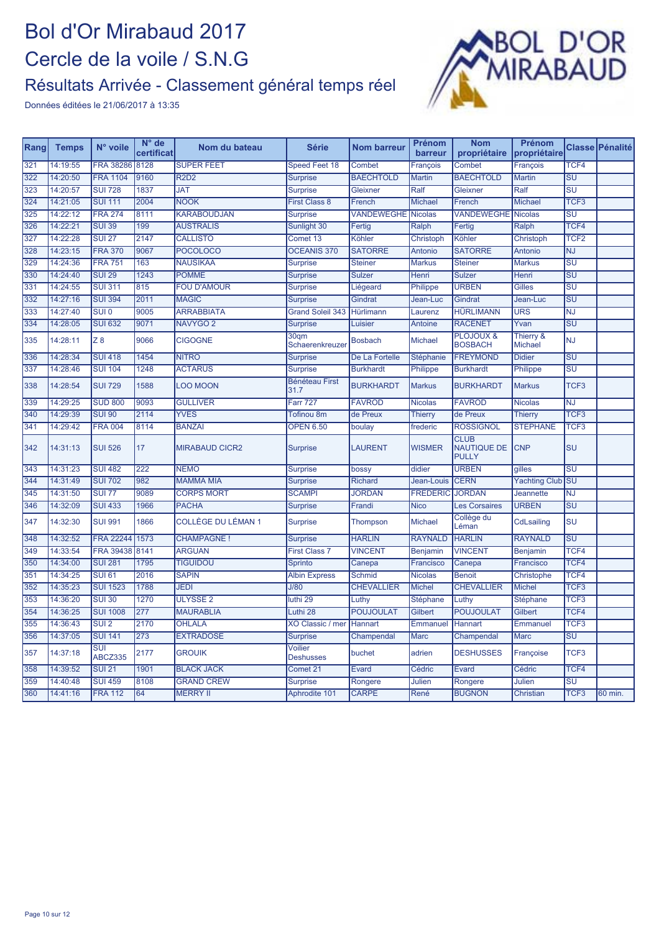

| Rang | <b>Temps</b> | N° voile                           | $N^{\circ}$ de<br>certificat | Nom du bateau         | <b>Série</b>                       | <b>Nom barreur</b> | Prénom<br>barreur | <b>Nom</b><br>propriétaire                        | Prénom<br>propriétaire |                                   | Classe Pénalité |
|------|--------------|------------------------------------|------------------------------|-----------------------|------------------------------------|--------------------|-------------------|---------------------------------------------------|------------------------|-----------------------------------|-----------------|
| 321  | 14:19:55     | <b>FRA 38286</b>                   | 8128                         | <b>SUPER FEET</b>     | <b>Speed Feet 18</b>               | Combet             | François          | Combet                                            | François               | TCF4                              |                 |
| 322  | 14:20:50     | <b>FRA 1104</b>                    | 9160                         | <b>R2D2</b>           | <b>Surprise</b>                    | <b>BAECHTOLD</b>   | <b>Martin</b>     | <b>BAECHTOLD</b>                                  | <b>Martin</b>          | $\overline{\mathsf{S}\mathsf{U}}$ |                 |
| 323  | 14:20:57     | <b>SUI 728</b>                     | 1837                         | <b>JAT</b>            | <b>Surprise</b>                    | Gleixner           | Ralf              | Gleixner                                          | Ralf                   | $\overline{\mathsf{S}}\mathsf{U}$ |                 |
| 324  | 14:21:05     | <b>SUI 111</b>                     | 2004                         | <b>NOOK</b>           | <b>First Class 8</b>               | French             | <b>Michael</b>    | French                                            | <b>Michael</b>         | TCF <sub>3</sub>                  |                 |
| 325  | 14:22:12     | <b>FRA 274</b>                     | 8111                         | <b>KARABOUDJAN</b>    | <b>Surprise</b>                    | <b>VANDEWEGHE</b>  | <b>Nicolas</b>    | <b>VANDEWEGHE</b>                                 | <b>Nicolas</b>         | SU                                |                 |
| 326  | 14:22:21     | <b>SUI 39</b>                      | 199                          | <b>AUSTRALIS</b>      | Sunlight 30                        | Fertig             | Ralph             | Fertig                                            | Ralph                  | TCF4                              |                 |
| 327  | 14:22:28     | <b>SUI 27</b>                      | 2147                         | <b>CALLISTO</b>       | Comet 13                           | <b>Köhler</b>      | Christoph         | <b>Köhler</b>                                     | Christoph              | TCF <sub>2</sub>                  |                 |
| 328  | 14:23:15     | <b>FRA 370</b>                     | 9067                         | <b>POCOLOCO</b>       | <b>OCEANIS 370</b>                 | <b>SATORRE</b>     | Antonio           | <b>SATORRE</b>                                    | Antonio                | $\overline{NJ}$                   |                 |
| 329  | 14:24:36     | <b>FRA 751</b>                     | 163                          | <b>NAUSIKAA</b>       | <b>Surprise</b>                    | <b>Steiner</b>     | <b>Markus</b>     | <b>Steiner</b>                                    | <b>Markus</b>          | $\overline{\mathsf{s}\mathsf{u}}$ |                 |
| 330  | 14:24:40     | <b>SUI 29</b>                      | 1243                         | <b>POMME</b>          | <b>Surprise</b>                    | <b>Sulzer</b>      | Henri             | <b>Sulzer</b>                                     | Henri                  | $\overline{\mathsf{S}}\mathsf{U}$ |                 |
| 331  | 14:24:55     | <b>SUI 311</b>                     | 815                          | <b>FOU D'AMOUR</b>    | <b>Surprise</b>                    | Liégeard           | Philippe          | <b>URBEN</b>                                      | Gilles                 | $\overline{\mathsf{S}}\mathsf{U}$ |                 |
| 332  | 14:27:16     | <b>SUI 394</b>                     | 2011                         | <b>MAGIC</b>          | <b>Surprise</b>                    | Gindrat            | Jean-Luc          | Gindrat                                           | Jean-Luc               | $\overline{\mathsf{S}\mathsf{U}}$ |                 |
| 333  | 14:27:40     | $\overline{\text{SUI 0}}$          | 9005                         | <b>ARRABBIATA</b>     | <b>Grand Soleil 343</b>            | Hürlimann          | Laurenz           | <b>HÜRLIMANN</b>                                  | <b>URS</b>             | <b>NJ</b>                         |                 |
| 334  | 14:28:05     | <b>SUI 632</b>                     | 9071                         | <b>NAVYGO 2</b>       | <b>Surprise</b>                    | Luisier            | Antoine           | <b>RACENET</b>                                    | Yvan                   | $\overline{\mathsf{S}}\mathsf{U}$ |                 |
| 335  | 14:28:11     | Z8                                 | 9066                         | <b>CIGOGNE</b>        | 30 <sub>q</sub><br>Schaerenkreuzer | <b>Bosbach</b>     | Michael           | <b>PLOJOUX &amp;</b><br><b>BOSBACH</b>            | Thierry &<br>Michael   | <b>NJ</b>                         |                 |
| 336  | 14:28:34     | <b>SUI 418</b>                     | 1454                         | <b>NITRO</b>          | <b>Surprise</b>                    | De La Fortelle     | Stéphanie         | <b>FREYMOND</b>                                   | <b>Didier</b>          | $\overline{\mathsf{S}\mathsf{U}}$ |                 |
| 337  | 14:28:46     | <b>SUI 104</b>                     | 1248                         | <b>ACTARUS</b>        | <b>Surprise</b>                    | <b>Burkhardt</b>   | Philippe          | <b>Burkhardt</b>                                  | Philippe               | $\overline{\mathsf{S}}\mathsf{U}$ |                 |
| 338  | 14:28:54     | <b>SUI 729</b>                     | 1588                         | <b>LOO MOON</b>       | Bénéteau First<br>31.7             | <b>BURKHARDT</b>   | <b>Markus</b>     | <b>BURKHARDT</b>                                  | <b>Markus</b>          | TCF <sub>3</sub>                  |                 |
| 339  | 14:29:25     | <b>SUD 800</b>                     | 9093                         | <b>GULLIVER</b>       | Farr 727                           | <b>FAVROD</b>      | <b>Nicolas</b>    | <b>FAVROD</b>                                     | <b>Nicolas</b>         | <b>NJ</b>                         |                 |
| 340  | 14:29:39     | <b>SUI 90</b>                      | 2114                         | <b>YVES</b>           | Tofinou 8m                         | de Preux           | <b>Thierry</b>    | de Preux                                          | <b>Thierry</b>         | TCF <sub>3</sub>                  |                 |
| 341  | 14:29:42     | <b>FRA 004</b>                     | 8114                         | <b>BANZAI</b>         | <b>OPEN 6.50</b>                   | boulay             | frederic          | <b>ROSSIGNOL</b>                                  | <b>STEPHANE</b>        | TCF <sub>3</sub>                  |                 |
| 342  | 14:31:13     | <b>SUI 526</b>                     | 17                           | <b>MIRABAUD CICR2</b> | <b>Surprise</b>                    | <b>LAURENT</b>     | <b>WISMER</b>     | <b>CLUB</b><br><b>NAUTIQUE DE</b><br><b>PULLY</b> | <b>CNP</b>             | SU                                |                 |
| 343  | 14:31:23     | <b>SUI 482</b>                     | 222                          | <b>NEMO</b>           | <b>Surprise</b>                    | bossy              | didier            | <b>URBEN</b>                                      | gilles                 | $\overline{\text{SU}}$            |                 |
| 344  | 14:31:49     | <b>SUI 702</b>                     | 982                          | <b>MAMMA MIA</b>      | <b>Surprise</b>                    | <b>Richard</b>     | Jean-Louis        | <b>CERN</b>                                       | <b>Yachting Club</b>   | SU                                |                 |
| 345  | 14:31:50     | <b>SUI 77</b>                      | 9089                         | <b>CORPS MORT</b>     | <b>SCAMP</b>                       | <b>JORDAN</b>      | <b>FREDERIC</b>   | <b>JORDAN</b>                                     | <b>Jeannette</b>       | <b>NJ</b>                         |                 |
| 346  | 14:32:09     | <b>SUI 433</b>                     | 1966                         | <b>PACHA</b>          | <b>Surprise</b>                    | Frandi             | <b>Nico</b>       | <b>Les Corsaires</b>                              | <b>URBEN</b>           | $\overline{\mathsf{S}}\mathsf{U}$ |                 |
| 347  | 14:32:30     | <b>SUI 991</b>                     | 1866                         | COLLÈGE DU LÉMAN 1    | <b>Surprise</b>                    | Thompson           | Michael           | Collège du<br>Léman                               | CdLsailing             | SU                                |                 |
| 348  | 14:32:52     | <b>FRA 22244</b>                   | 1573                         | <b>CHAMPAGNE!</b>     | <b>Surprise</b>                    | <b>HARLIN</b>      | <b>RAYNALD</b>    | <b>HARLIN</b>                                     | <b>RAYNALD</b>         | $\overline{\mathsf{S}\mathsf{U}}$ |                 |
| 349  | 14:33:54     | <b>FRA 39438</b>                   | 8141                         | <b>ARGUAN</b>         | <b>First Class 7</b>               | <b>VINCENT</b>     | <b>Benjamin</b>   | <b>VINCENT</b>                                    | Benjamin               | TCF4                              |                 |
| 350  | 14:34:00     | <b>SUI 281</b>                     | 1795                         | <b>TIGUIDOU</b>       | <b>Sprinto</b>                     | Canepa             | Francisco         | Canepa                                            | Francisco              | TCF4                              |                 |
| 351  | 14:34:25     | <b>SUI 61</b>                      | 2016                         | <b>SAPIN</b>          | <b>Albin Express</b>               | Schmid             | <b>Nicolas</b>    | <b>Benoit</b>                                     | Christophe             | TCF4                              |                 |
| 352  | 14:35:23     | <b>SUI 1523</b>                    | 1788                         | <b>JEDI</b>           | J/80                               | <b>CHEVALLIER</b>  | <b>Michel</b>     | <b>CHEVALLIER</b>                                 | <b>Michel</b>          | TCF <sub>3</sub>                  |                 |
| 353  | 14:36:20     | <b>SUI 30</b>                      | 1270                         | ULYSSE <sub>2</sub>   | luthi 29                           | Luthy              | Stéphane          | Luthy                                             | <b>Stéphane</b>        | TCF <sub>3</sub>                  |                 |
| 354  | 14:36:25     | <b>SUI 1008</b>                    | 277                          | <b>MAURABLIA</b>      | Luthi 28                           | <b>POUJOULAT</b>   | Gilbert           | <b>POUJOULAT</b>                                  | Gilbert                | TCF4                              |                 |
| 355  | 14:36:43     | $\overline{SUI2}$                  | 2170                         | <b>OHLALA</b>         | XO Classic / mer                   | <b>Hannart</b>     | Emmanuel          | <b>Hannart</b>                                    | Emmanuel               | TCF <sub>3</sub>                  |                 |
| 356  | 14:37:05     | <b>SUI 141</b>                     | 273                          | <b>EXTRADOSE</b>      | <b>Surprise</b>                    | Champendal         | <b>Marc</b>       | Champendal                                        | <b>Marc</b>            | <b>SU</b>                         |                 |
| 357  | 14:37:18     | $\overline{\text{SUI}}$<br>ABCZ335 | 2177                         | <b>GROUIK</b>         | Voilier<br><b>Deshusses</b>        | buchet             | adrien            | <b>DESHUSSES</b>                                  | Françoise              | TCF <sub>3</sub>                  |                 |
| 358  | 14:39:52     | <b>SUI 21</b>                      | 1901                         | <b>BLACK JACK</b>     | Comet 21                           | <b>Evard</b>       | Cédric            | Evard                                             | Cédric                 | TCF4                              |                 |
| 359  | 14:40:48     | <b>SUI 459</b>                     | 8108                         | <b>GRAND CREW</b>     | Surprise                           | Rongere            | Julien            | Rongere                                           | Julien                 | SU                                |                 |
| 360  | 14:41:16     | <b>FRA 112</b>                     | 64                           | <b>MERRY II</b>       | Aphrodite 101                      | <b>CARPE</b>       | René              | <b>BUGNON</b>                                     | Christian              | TCF <sub>3</sub>                  | 60 min.         |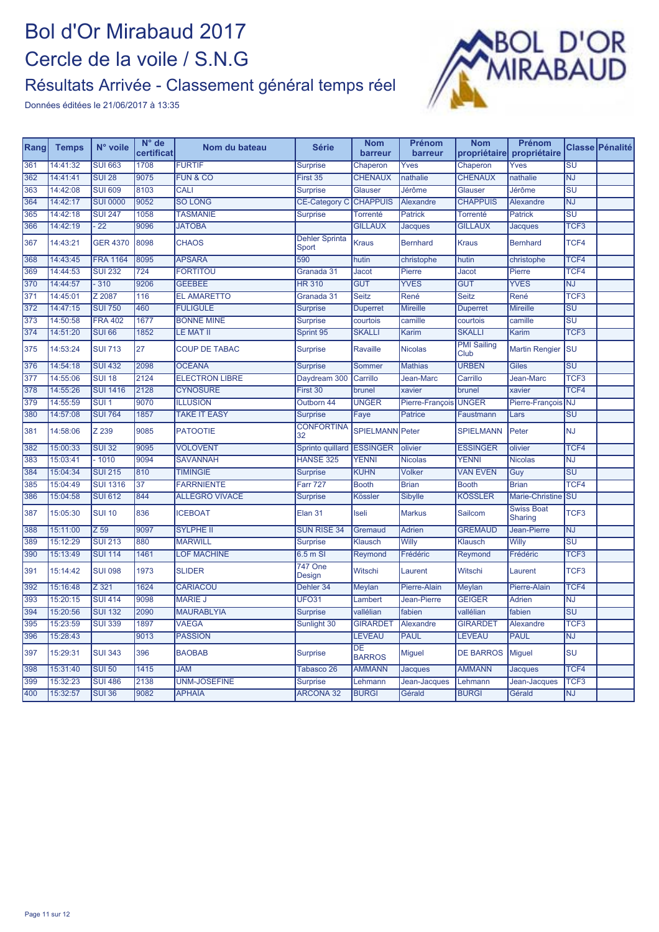

| Rang | <b>Temps</b> | N° voile           | $N^{\circ}$ de<br>certificat | Nom du bateau         | <b>Série</b>                   | <b>Nom</b><br>barreur            | Prénom<br>barreur | <b>Nom</b><br>propriétaire | Prénom<br>propriétaire       |                                   | <b>Classe Pénalité</b> |
|------|--------------|--------------------|------------------------------|-----------------------|--------------------------------|----------------------------------|-------------------|----------------------------|------------------------------|-----------------------------------|------------------------|
| 361  | 14:41:32     | <b>SUI 663</b>     | 1708                         | <b>FURTIF</b>         | <b>Surprise</b>                | Chaperon                         | Yves              | Chaperon                   | Yves                         | $\overline{\mathsf{S}\mathsf{U}}$ |                        |
| 362  | 14:41:41     | <b>SUI 28</b>      | 9075                         | <b>FUN &amp; CO</b>   | First 35                       | <b>CHENAUX</b>                   | nathalie          | <b>CHENAUX</b>             | nathalie                     | $\overline{\text{NJ}}$            |                        |
| 363  | 14:42:08     | <b>SUI 609</b>     | 8103                         | CALI                  | <b>Surprise</b>                | Glauser                          | Jérôme            | Glauser                    | Jérôme                       | $\overline{\mathsf{S}}\mathsf{U}$ |                        |
| 364  | 14:42:17     | <b>SUI 0000</b>    | 9052                         | <b>SO LONG</b>        | <b>CE-Category C</b>           | <b>CHAPPUIS</b>                  | Alexandre         | <b>CHAPPUIS</b>            | Alexandre                    | $\overline{NJ}$                   |                        |
| 365  | 14:42:18     | <b>SUI 247</b>     | 1058                         | <b>TASMANIE</b>       | <b>Surprise</b>                | <b>Torrenté</b>                  | <b>Patrick</b>    | Torrenté                   | <b>Patrick</b>               | $\overline{\mathsf{s}\mathsf{u}}$ |                        |
| 366  | 14:42:19     | $\overline{22}$    | 9096                         | <b>JATOBA</b>         |                                | <b>GILLAUX</b>                   | <b>Jacques</b>    | <b>GILLAUX</b>             | <b>Jacques</b>               | TCF <sub>3</sub>                  |                        |
| 367  | 14:43:21     | <b>GER 4370</b>    | 8098                         | <b>CHAOS</b>          | <b>Dehler Sprinta</b><br>Sport | <b>Kraus</b>                     | <b>Bernhard</b>   | <b>Kraus</b>               | <b>Bernhard</b>              | TCF4                              |                        |
| 368  | 14:43:45     | <b>FRA 1164</b>    | 8095                         | <b>APSARA</b>         | 590                            | hutin                            | christophe        | hutin                      | christophe                   | TCF <sub>4</sub>                  |                        |
| 369  | 14:44:53     | <b>SUI 232</b>     | 724                          | <b>FORTITOU</b>       | Granada 31                     | Jacot                            | Pierre            | Jacot                      | Pierre                       | TCF4                              |                        |
| 370  | 14:44:57     | $-310$             | 9206                         | <b>GEEBEE</b>         | <b>HR 310</b>                  | <b>GUT</b>                       | <b>YVES</b>       | <b>GUT</b>                 | <b>YVES</b>                  | $\overline{\text{NJ}}$            |                        |
| 371  | 14:45:01     | Z 2087             | 116                          | <b>EL AMARETTO</b>    | Granada 31                     | Seitz                            | René              | <b>Seitz</b>               | René                         | TCF <sub>3</sub>                  |                        |
| 372  | 14:47:15     | <b>SUI 750</b>     | 460                          | <b>FULIGULE</b>       | <b>Surprise</b>                | <b>Duperret</b>                  | <b>Mireille</b>   | <b>Duperret</b>            | <b>Mireille</b>              | $\overline{\mathsf{SU}}$          |                        |
| 373  | 14:50:58     | <b>FRA 402</b>     | 1677                         | <b>BONNE MINE</b>     | <b>Surprise</b>                | courtois                         | camille           | courtois                   | camille                      | $\overline{\mathsf{s}\mathsf{u}}$ |                        |
| 374  | 14:51:20     | <b>SUI 66</b>      | 1852                         | <b>LE MAT II</b>      | Sprint 95                      | <b>SKALLI</b>                    | Karim             | <b>SKALLI</b>              | Karim                        | TCF <sub>3</sub>                  |                        |
| 375  | 14:53:24     | <b>SUI 713</b>     | 27                           | <b>COUP DE TABAC</b>  | <b>Surprise</b>                | Ravaille                         | <b>Nicolas</b>    | <b>PMI</b> Sailing<br>Club | <b>Martin Rengier</b>        | <b>SU</b>                         |                        |
| 376  | 14:54:18     | <b>SUI 432</b>     | 2098                         | <b>OCÉANA</b>         | <b>Surprise</b>                | Sommer                           | <b>Mathias</b>    | <b>URBEN</b>               | Giles                        | $\overline{\mathsf{SU}}$          |                        |
| 377  | 14:55:06     | <b>SUI 18</b>      | 2124                         | <b>ELECTRON LIBRE</b> | Daydream 300                   | Carrillo                         | Jean-Marc         | Carrillo                   | Jean-Marc                    | TCF <sub>3</sub>                  |                        |
| 378  | 14:55:26     | <b>SUI 1416</b>    | 2128                         | <b>CYNOSURE</b>       | First 30                       | brunel                           | xavier            | brunel                     | xavier                       | TCF4                              |                        |
| 379  | 14:55:59     | $SUI$ 1            | 9070                         | <b>ILLUSION</b>       | Outborn 44                     | <b>UNGER</b>                     | Pierre-François   | <b>UNGER</b>               | Pierre-Francois              | NJ                                |                        |
| 380  | 14:57:08     | <b>SUI 764</b>     | 1857                         | <b>TAKE IT EASY</b>   | <b>Surprise</b>                | Faye                             | <b>Patrice</b>    | Faustmann                  | Lars                         | $\overline{\mathsf{s}\mathsf{u}}$ |                        |
| 381  | 14:58:06     | Z 239              | 9085                         | <b>PATOOTIE</b>       | <b>CONFORTINA</b><br>32        | <b>SPIELMANN</b> Peter           |                   | <b>SPIELMANN</b>           | Peter                        | <b>NJ</b>                         |                        |
| 382  | 15:00:33     | <b>SUI 32</b>      | 9095                         | <b>VOLOVENT</b>       | Sprinto quillard               | <b>ESSINGER</b>                  | olivier           | <b>ESSINGER</b>            | olivier                      | TCF4                              |                        |
| 383  | 15:03:41     | $-1010$            | 9094                         | <b>SAVANNAH</b>       | HANSE 325                      | YENNI                            | <b>Nicolas</b>    | YENNI                      | <b>Nicolas</b>               | NJ                                |                        |
| 384  | 15:04:34     | <b>SUI 215</b>     | 810                          | <b>TIMINGIE</b>       | <b>Surprise</b>                | <b>KUHN</b>                      | Volker            | <b>VAN EVEN</b>            | Guy                          | $\overline{\mathsf{SU}}$          |                        |
| 385  | 15:04:49     | <b>SUI 1316</b>    | 37                           | <b>FARRNIENTE</b>     | <b>Farr 727</b>                | <b>Booth</b>                     | <b>Brian</b>      | <b>Booth</b>               | <b>Brian</b>                 | TCF4                              |                        |
| 386  | 15:04:58     | <b>SUI 612</b>     | 844                          | <b>ALLEGRO VIVACE</b> | <b>Surprise</b>                | <b>Kössler</b>                   | <b>Sibylle</b>    | <b>KÖSSLER</b>             | Marie-Christine              | $\overline{\mathsf{SU}}$          |                        |
| 387  | 15:05:30     | <b>SUI 10</b>      | 836                          | <b>ICEBOAT</b>        | Elan 31                        | Iseli                            | <b>Markus</b>     | <b>Sailcom</b>             | <b>Swiss Boat</b><br>Sharing | TCF <sub>3</sub>                  |                        |
| 388  | 15:11:00     | $\overline{Z}$ 59  | 9097                         | <b>SYLPHE II</b>      | <b>SUN RISE 34</b>             | Gremaud                          | <b>Adrien</b>     | <b>GREMAUD</b>             | Jean-Pierre                  | NJ                                |                        |
| 389  | 15:12:29     | <b>SUI 213</b>     | 880                          | <b>MARWILL</b>        | <b>Surprise</b>                | Klausch                          | Willy             | Klausch                    | Willy                        | $\overline{\mathsf{s}\mathsf{u}}$ |                        |
| 390  | 15:13:49     | <b>SUI 114</b>     | 1461                         | <b>LOF MACHINE</b>    | $6.5m$ SI                      | Reymond                          | Frédéric          | Reymond                    | Frédéric                     | TCF <sub>3</sub>                  |                        |
| 391  | 15:14:42     | <b>SUI 098</b>     | 1973                         | <b>SLIDER</b>         | 747 One<br>Design              | Witschi                          | Laurent           | Witschi                    | Laurent                      | TCF <sub>3</sub>                  |                        |
| 392  | 15:16:48     | $\overline{Z}$ 321 | 1624                         | <b>CARIACOU</b>       | Dehler <sub>34</sub>           | Meylan                           | Pierre-Alain      | Meylan                     | Pierre-Alain                 | TCF4                              |                        |
| 393  | 15:20:15     | <b>SUI 414</b>     | 9098                         | <b>MARIE J</b>        | <b>UFO31</b>                   | Lambert                          | Jean-Pierre       | <b>GEIGER</b>              | <b>Adrien</b>                | NJ                                |                        |
| 394  | 15:20:56     | <b>SUI 132</b>     | 2090                         | <b>MAURABLYIA</b>     | <b>Surprise</b>                | vallélian                        | fabien            | vallélian                  | fabien                       | $\overline{\mathsf{s}\mathsf{u}}$ |                        |
| 395  | 15:23:59     | <b>SUI 339</b>     | 1897                         | <b>VAEGA</b>          | Sunlight 30                    | <b>GIRARDET</b>                  | Alexandre         | <b>GIRARDET</b>            | Alexandre                    | TCF <sub>3</sub>                  |                        |
| 396  | 15:28:43     |                    | 9013                         | <b>PASSION</b>        |                                | <b>LEVEAU</b>                    | <b>PAUL</b>       | <b>LEVEAU</b>              | <b>PAUL</b>                  | $\overline{\text{NJ}}$            |                        |
| 397  | 15:29:31     | <b>SUI 343</b>     | 396                          | <b>BAOBAB</b>         | <b>Surprise</b>                | $\overline{DE}$<br><b>BARROS</b> | Miguel            | <b>DE BARROS</b>           | Miguel                       | <b>SU</b>                         |                        |
| 398  | 15:31:40     | <b>SUI 50</b>      | 1415                         | <b>JAM</b>            | Tabasco 26                     | <b>AMMANN</b>                    | <b>Jacques</b>    | <b>AMMANN</b>              | <b>Jacques</b>               | TCF <sub>4</sub>                  |                        |
| 399  | 15:32:23     | <b>SUI 486</b>     | 2138                         | <b>UNM-JOSEFINE</b>   | <b>Surprise</b>                | Lehmann                          | Jean-Jacques      | Lehmann                    | Jean-Jacques                 | TCF <sub>3</sub>                  |                        |
| 400  | 15:32:57     | <b>SUI 36</b>      | 9082                         | <b>APHAÏA</b>         | <b>ARCONA 32</b>               | <b>BURGI</b>                     | Gérald            | <b>BURGI</b>               | Gérald                       | $\overline{NJ}$                   |                        |